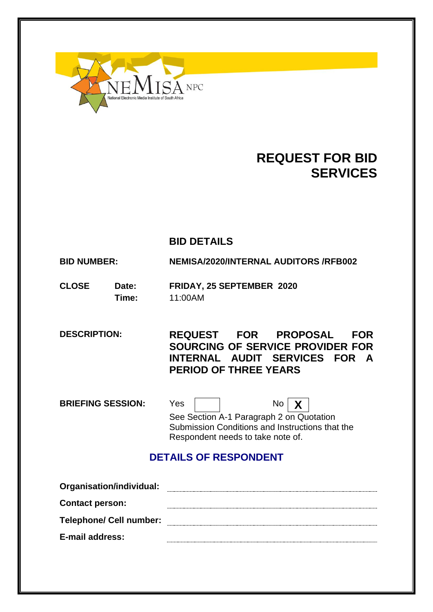

# **REQUEST FOR BID SERVICES**

# **BID DETAILS**

**BID NUMBER: NEMISA/2020/INTERNAL AUDITORS /RFB002**

# **CLOSE Date: FRIDAY, 25 SEPTEMBER 2020 Time:** 11:00AM

**DESCRIPTION: REQUEST FOR PROPOSAL FOR SOURCING OF SERVICE PROVIDER FOR INTERNAL AUDIT SERVICES FOR A PERIOD OF THREE YEARS**

**BRIEFING SESSION:** Yes  $\boxed{N}$  No  $\boxed{\chi}$ 

See Section A-1 Paragraph 2 on Quotation Submission Conditions and Instructions that the Respondent needs to take note of.

# **DETAILS OF RESPONDENT**

| Organisation/individual:       |  |
|--------------------------------|--|
| <b>Contact person:</b>         |  |
| <b>Telephone/ Cell number:</b> |  |
| E-mail address:                |  |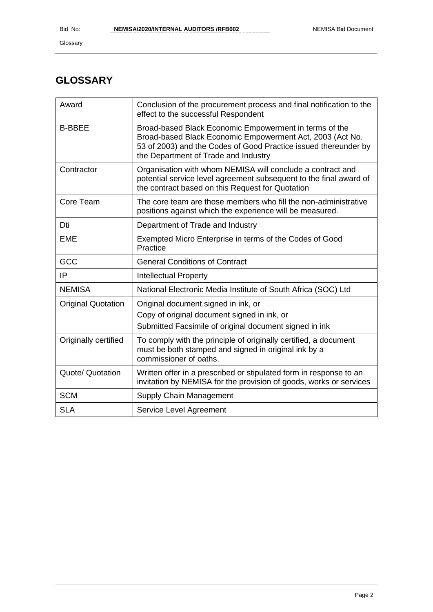# **GLOSSARY**

| Award                     | Conclusion of the procurement process and final notification to the<br>effect to the successful Respondent                                                                                                                     |
|---------------------------|--------------------------------------------------------------------------------------------------------------------------------------------------------------------------------------------------------------------------------|
| <b>B-BBEE</b>             | Broad-based Black Economic Empowerment in terms of the<br>Broad-based Black Economic Empowerment Act, 2003 (Act No.<br>53 of 2003) and the Codes of Good Practice issued thereunder by<br>the Department of Trade and Industry |
| Contractor                | Organisation with whom NEMISA will conclude a contract and<br>potential service level agreement subsequent to the final award of<br>the contract based on this Request for Quotation                                           |
| Core Team                 | The core team are those members who fill the non-administrative<br>positions against which the experience will be measured.                                                                                                    |
| Dti                       | Department of Trade and Industry                                                                                                                                                                                               |
| <b>EME</b>                | Exempted Micro Enterprise in terms of the Codes of Good<br>Practice                                                                                                                                                            |
| GCC                       | <b>General Conditions of Contract</b>                                                                                                                                                                                          |
| IP                        | <b>Intellectual Property</b>                                                                                                                                                                                                   |
| <b>NEMISA</b>             | National Electronic Media Institute of South Africa (SOC) Ltd                                                                                                                                                                  |
| <b>Original Quotation</b> | Original document signed in ink, or<br>Copy of original document signed in ink, or<br>Submitted Facsimile of original document signed in ink                                                                                   |
| Originally certified      | To comply with the principle of originally certified, a document<br>must be both stamped and signed in original ink by a<br>commissioner of oaths.                                                                             |
| Quote/ Quotation          | Written offer in a prescribed or stipulated form in response to an<br>invitation by NEMISA for the provision of goods, works or services                                                                                       |
| <b>SCM</b>                | Supply Chain Management                                                                                                                                                                                                        |
| <b>SLA</b>                | Service Level Agreement                                                                                                                                                                                                        |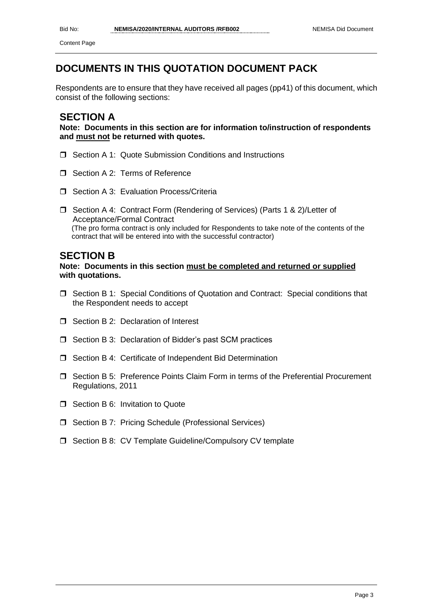# **DOCUMENTS IN THIS QUOTATION DOCUMENT PACK**

Respondents are to ensure that they have received all pages (pp41) of this document, which consist of the following sections:

# **SECTION A**

**Note: Documents in this section are for information to/instruction of respondents and must not be returned with quotes.**

- □ Section A 1: Quote Submission Conditions and Instructions
- Section A 2: Terms of Reference
- □ Section A 3: Evaluation Process/Criteria
- □ Section A 4: Contract Form (Rendering of Services) (Parts 1 & 2)/Letter of Acceptance/Formal Contract (The pro forma contract is only included for Respondents to take note of the contents of the contract that will be entered into with the successful contractor)

# **SECTION B**

#### **Note: Documents in this section must be completed and returned or supplied with quotations.**

- Section B 1: Special Conditions of Quotation and Contract: Special conditions that the Respondent needs to accept
- $\Box$  Section B 2: Declaration of Interest
- □ Section B 3: Declaration of Bidder's past SCM practices
- □ Section B 4: Certificate of Independent Bid Determination
- Section B 5: Preference Points Claim Form in terms of the Preferential Procurement Regulations, 2011
- **T** Section B 6: Invitation to Quote
- □ Section B 7: Pricing Schedule (Professional Services)
- □ Section B 8: CV Template Guideline/Compulsory CV template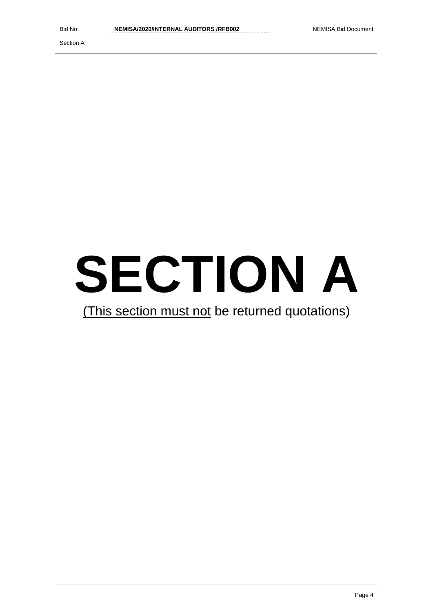Section A

# **SECTION A**

# (This section must not be returned quotations)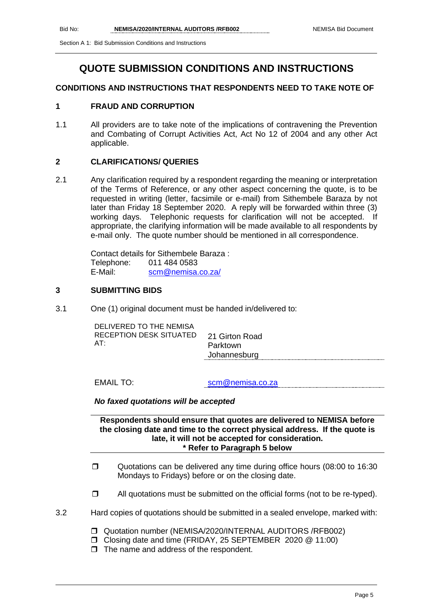# **QUOTE SUBMISSION CONDITIONS AND INSTRUCTIONS**

## **CONDITIONS AND INSTRUCTIONS THAT RESPONDENTS NEED TO TAKE NOTE OF**

# **1 FRAUD AND CORRUPTION**

1.1 All providers are to take note of the implications of contravening the Prevention and Combating of Corrupt Activities Act, Act No 12 of 2004 and any other Act applicable.

# **2 CLARIFICATIONS/ QUERIES**

2.1 Any clarification required by a respondent regarding the meaning or interpretation of the Terms of Reference, or any other aspect concerning the quote, is to be requested in writing (letter, facsimile or e-mail) from Sithembele Baraza by not later than Friday 18 September 2020. A reply will be forwarded within three (3) working days. Telephonic requests for clarification will not be accepted. If appropriate, the clarifying information will be made available to all respondents by e-mail only. The quote number should be mentioned in all correspondence.

> Contact details for Sithembele Baraza : Telephone: 011 484 0583 E-Mail: [scm@nemisa.co.za/](mailto:scm@nemisa.co.za/)

## **3 SUBMITTING BIDS**

3.1 One (1) original document must be handed in/delivered to:

| DELIVERED TO THE NEMISA        |                                            |
|--------------------------------|--------------------------------------------|
| RECEPTION DESK SITUATED<br>AT: | 21 Girton Road<br>Parktown<br>Johannesburg |
|                                |                                            |

EMAIL TO: [scm@nemisa.co.za](mailto:scm@nemisa.co.za)

#### *No faxed quotations will be accepted*

**Respondents should ensure that quotes are delivered to NEMISA before the closing date and time to the correct physical address. If the quote is late, it will not be accepted for consideration. \* Refer to Paragraph 5 below**

- $\square$  Quotations can be delivered any time during office hours (08:00 to 16:30 Mondays to Fridays) before or on the closing date.
- $\Box$  All quotations must be submitted on the official forms (not to be re-typed).
- 3.2 Hard copies of quotations should be submitted in a sealed envelope, marked with:
	- Quotation number (NEMISA/2020/INTERNAL AUDITORS /RFB002)
	- Closing date and time (FRIDAY, 25 SEPTEMBER 2020 @ 11:00)
	- $\Box$  The name and address of the respondent.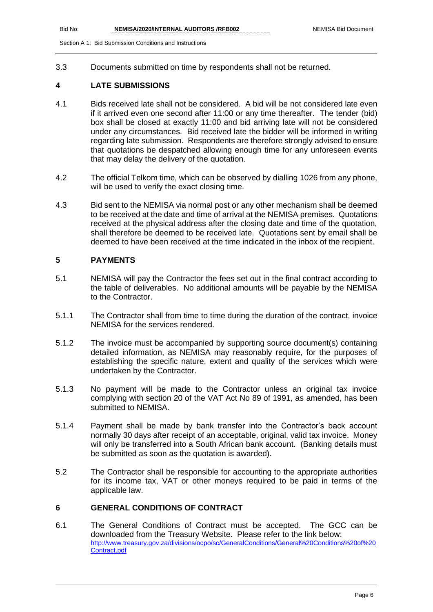3.3 Documents submitted on time by respondents shall not be returned.

## **4 LATE SUBMISSIONS**

- 4.1 Bids received late shall not be considered. A bid will be not considered late even if it arrived even one second after 11:00 or any time thereafter. The tender (bid) box shall be closed at exactly 11:00 and bid arriving late will not be considered under any circumstances. Bid received late the bidder will be informed in writing regarding late submission. Respondents are therefore strongly advised to ensure that quotations be despatched allowing enough time for any unforeseen events that may delay the delivery of the quotation.
- 4.2 The official Telkom time, which can be observed by dialling 1026 from any phone, will be used to verify the exact closing time.
- 4.3 Bid sent to the NEMISA via normal post or any other mechanism shall be deemed to be received at the date and time of arrival at the NEMISA premises. Quotations received at the physical address after the closing date and time of the quotation, shall therefore be deemed to be received late. Quotations sent by email shall be deemed to have been received at the time indicated in the inbox of the recipient.

#### **5 PAYMENTS**

- 5.1 NEMISA will pay the Contractor the fees set out in the final contract according to the table of deliverables. No additional amounts will be payable by the NEMISA to the Contractor.
- 5.1.1 The Contractor shall from time to time during the duration of the contract, invoice NEMISA for the services rendered.
- 5.1.2 The invoice must be accompanied by supporting source document(s) containing detailed information, as NEMISA may reasonably require, for the purposes of establishing the specific nature, extent and quality of the services which were undertaken by the Contractor.
- 5.1.3 No payment will be made to the Contractor unless an original tax invoice complying with section 20 of the VAT Act No 89 of 1991, as amended, has been submitted to NEMISA.
- 5.1.4 Payment shall be made by bank transfer into the Contractor's back account normally 30 days after receipt of an acceptable, original, valid tax invoice. Money will only be transferred into a South African bank account. (Banking details must be submitted as soon as the quotation is awarded).
- 5.2 The Contractor shall be responsible for accounting to the appropriate authorities for its income tax, VAT or other moneys required to be paid in terms of the applicable law.

# **6 GENERAL CONDITIONS OF CONTRACT**

6.1 The General Conditions of Contract must be accepted. The GCC can be downloaded from the Treasury Website. Please refer to the link below: [http://www.treasury.gov.za/divisions/ocpo/sc/GeneralConditions/General%20Conditions%20of%20](http://www.treasury.gov.za/divisions/ocpo/sc/GeneralConditions/General%20Conditions%20of%20Contract.pdf) [Contract.pdf](http://www.treasury.gov.za/divisions/ocpo/sc/GeneralConditions/General%20Conditions%20of%20Contract.pdf)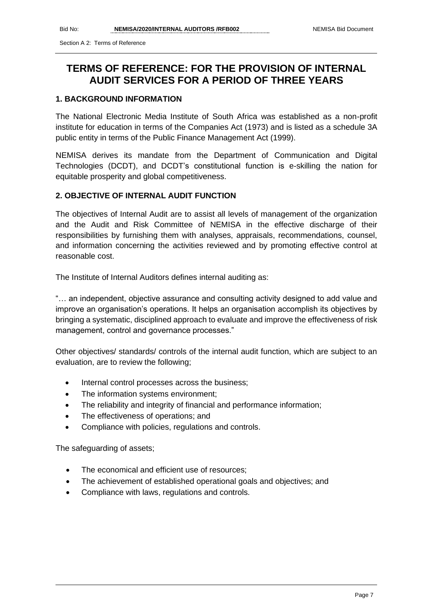Section A 2: Terms of Reference

# **TERMS OF REFERENCE: FOR THE PROVISION OF INTERNAL AUDIT SERVICES FOR A PERIOD OF THREE YEARS**

# **1. BACKGROUND INFORMATION**

The National Electronic Media Institute of South Africa was established as a non-profit institute for education in terms of the Companies Act (1973) and is listed as a schedule 3A public entity in terms of the Public Finance Management Act (1999).

NEMISA derives its mandate from the Department of Communication and Digital Technologies (DCDT), and DCDT's constitutional function is e-skilling the nation for equitable prosperity and global competitiveness.

# **2. OBJECTIVE OF INTERNAL AUDIT FUNCTION**

The objectives of Internal Audit are to assist all levels of management of the organization and the Audit and Risk Committee of NEMISA in the effective discharge of their responsibilities by furnishing them with analyses, appraisals, recommendations, counsel, and information concerning the activities reviewed and by promoting effective control at reasonable cost.

The Institute of Internal Auditors defines internal auditing as:

"… an independent, objective assurance and consulting activity designed to add value and improve an organisation's operations. It helps an organisation accomplish its objectives by bringing a systematic, disciplined approach to evaluate and improve the effectiveness of risk management, control and governance processes."

Other objectives/ standards/ controls of the internal audit function, which are subject to an evaluation, are to review the following;

- Internal control processes across the business;
- The information systems environment;
- The reliability and integrity of financial and performance information;
- The effectiveness of operations; and
- Compliance with policies, regulations and controls.

The safeguarding of assets;

- The economical and efficient use of resources;
- The achievement of established operational goals and objectives; and
- Compliance with laws, regulations and controls.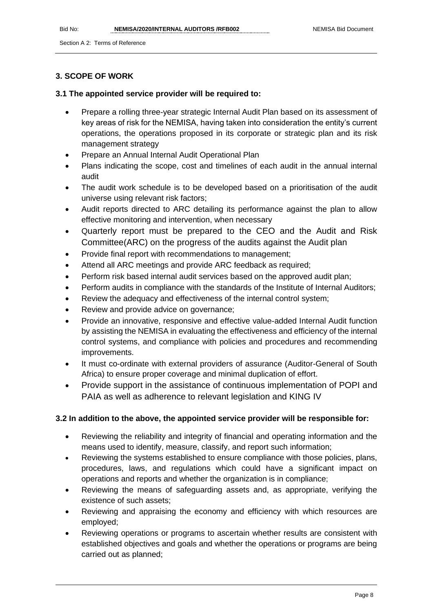Section A 2: Terms of Reference

# **3. SCOPE OF WORK**

# **3.1 The appointed service provider will be required to:**

- Prepare a rolling three-year strategic Internal Audit Plan based on its assessment of key areas of risk for the NEMISA, having taken into consideration the entity's current operations, the operations proposed in its corporate or strategic plan and its risk management strategy
- Prepare an Annual Internal Audit Operational Plan
- Plans indicating the scope, cost and timelines of each audit in the annual internal audit
- The audit work schedule is to be developed based on a prioritisation of the audit universe using relevant risk factors;
- Audit reports directed to ARC detailing its performance against the plan to allow effective monitoring and intervention, when necessary
- Quarterly report must be prepared to the CEO and the Audit and Risk Committee(ARC) on the progress of the audits against the Audit plan
- Provide final report with recommendations to management;
- Attend all ARC meetings and provide ARC feedback as required;
- Perform risk based internal audit services based on the approved audit plan;
- Perform audits in compliance with the standards of the Institute of Internal Auditors;
- Review the adequacy and effectiveness of the internal control system;
- Review and provide advice on governance;
- Provide an innovative, responsive and effective value-added Internal Audit function by assisting the NEMISA in evaluating the effectiveness and efficiency of the internal control systems, and compliance with policies and procedures and recommending improvements.
- It must co-ordinate with external providers of assurance (Auditor-General of South Africa) to ensure proper coverage and minimal duplication of effort.
- Provide support in the assistance of continuous implementation of POPI and PAIA as well as adherence to relevant legislation and KING IV

# **3.2 In addition to the above, the appointed service provider will be responsible for:**

- Reviewing the reliability and integrity of financial and operating information and the means used to identify, measure, classify, and report such information;
- Reviewing the systems established to ensure compliance with those policies, plans, procedures, laws, and regulations which could have a significant impact on operations and reports and whether the organization is in compliance;
- Reviewing the means of safeguarding assets and, as appropriate, verifying the existence of such assets;
- Reviewing and appraising the economy and efficiency with which resources are employed;
- Reviewing operations or programs to ascertain whether results are consistent with established objectives and goals and whether the operations or programs are being carried out as planned;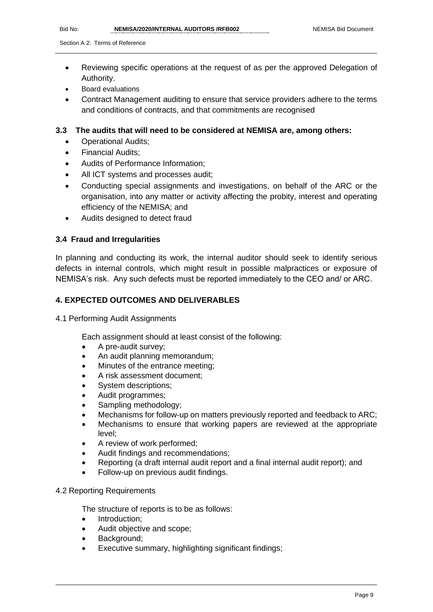- Reviewing specific operations at the request of as per the approved Delegation of Authority.
- Board evaluations
- Contract Management auditing to ensure that service providers adhere to the terms and conditions of contracts, and that commitments are recognised

# **3.3 The audits that will need to be considered at NEMISA are, among others:**

- Operational Audits;
- Financial Audits;
- Audits of Performance Information;
- All ICT systems and processes audit;
- Conducting special assignments and investigations, on behalf of the ARC or the organisation, into any matter or activity affecting the probity, interest and operating efficiency of the NEMISA; and
- Audits designed to detect fraud

# **3.4 Fraud and Irregularities**

In planning and conducting its work, the internal auditor should seek to identify serious defects in internal controls, which might result in possible malpractices or exposure of NEMISA's risk. Any such defects must be reported immediately to the CEO and/ or ARC.

# **4. EXPECTED OUTCOMES AND DELIVERABLES**

4.1 Performing Audit Assignments

Each assignment should at least consist of the following:

- A pre-audit survey;
- An audit planning memorandum;
- Minutes of the entrance meeting;
- A risk assessment document;
- System descriptions;
- Audit programmes;
- Sampling methodology;
- Mechanisms for follow-up on matters previously reported and feedback to ARC;
- Mechanisms to ensure that working papers are reviewed at the appropriate level;
- A review of work performed;
- Audit findings and recommendations;
- Reporting (a draft internal audit report and a final internal audit report); and
- Follow-up on previous audit findings.

# 4.2 Reporting Requirements

The structure of reports is to be as follows:

- Introduction;
- Audit objective and scope;
- Background:
- Executive summary, highlighting significant findings;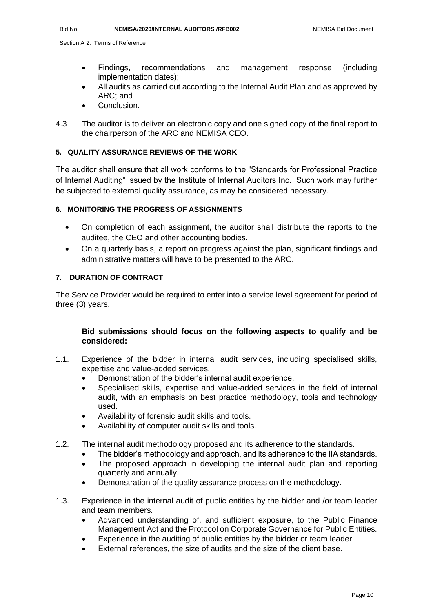- Findings, recommendations and management response (including implementation dates);
- All audits as carried out according to the Internal Audit Plan and as approved by ARC; and
- Conclusion.
- 4.3 The auditor is to deliver an electronic copy and one signed copy of the final report to the chairperson of the ARC and NEMISA CEO.

# **5. QUALITY ASSURANCE REVIEWS OF THE WORK**

The auditor shall ensure that all work conforms to the "Standards for Professional Practice of Internal Auditing" issued by the Institute of Internal Auditors Inc. Such work may further be subjected to external quality assurance, as may be considered necessary.

## **6. MONITORING THE PROGRESS OF ASSIGNMENTS**

- On completion of each assignment, the auditor shall distribute the reports to the auditee, the CEO and other accounting bodies.
- On a quarterly basis, a report on progress against the plan, significant findings and administrative matters will have to be presented to the ARC.

## **7. DURATION OF CONTRACT**

The Service Provider would be required to enter into a service level agreement for period of three (3) years.

## **Bid submissions should focus on the following aspects to qualify and be considered:**

- 1.1. Experience of the bidder in internal audit services, including specialised skills, expertise and value-added services.
	- Demonstration of the bidder's internal audit experience.
	- Specialised skills, expertise and value-added services in the field of internal audit, with an emphasis on best practice methodology, tools and technology used.
	- Availability of forensic audit skills and tools.
	- Availability of computer audit skills and tools.
- 1.2. The internal audit methodology proposed and its adherence to the standards.
	- The bidder's methodology and approach, and its adherence to the IIA standards.
	- The proposed approach in developing the internal audit plan and reporting quarterly and annually.
	- Demonstration of the quality assurance process on the methodology.
- 1.3. Experience in the internal audit of public entities by the bidder and /or team leader and team members.
	- Advanced understanding of, and sufficient exposure, to the Public Finance Management Act and the Protocol on Corporate Governance for Public Entities.
	- Experience in the auditing of public entities by the bidder or team leader.
	- External references, the size of audits and the size of the client base.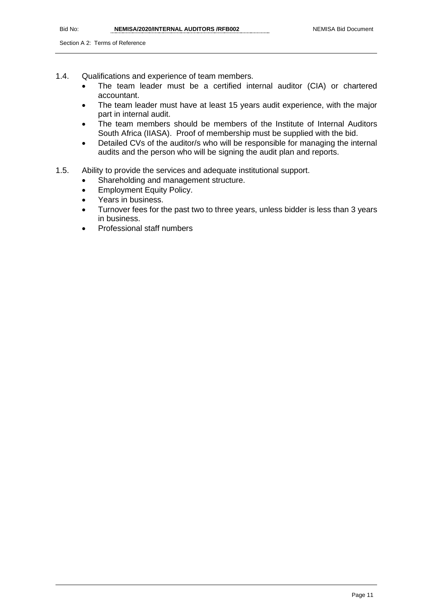- 1.4. Qualifications and experience of team members.
	- The team leader must be a certified internal auditor (CIA) or chartered accountant.
	- The team leader must have at least 15 years audit experience, with the major part in internal audit.
	- The team members should be members of the Institute of Internal Auditors South Africa (IIASA). Proof of membership must be supplied with the bid.
	- Detailed CVs of the auditor/s who will be responsible for managing the internal audits and the person who will be signing the audit plan and reports.
- 1.5. Ability to provide the services and adequate institutional support.
	- Shareholding and management structure.
	- Employment Equity Policy.
	- Years in business.
	- Turnover fees for the past two to three years, unless bidder is less than 3 years in business.
	- Professional staff numbers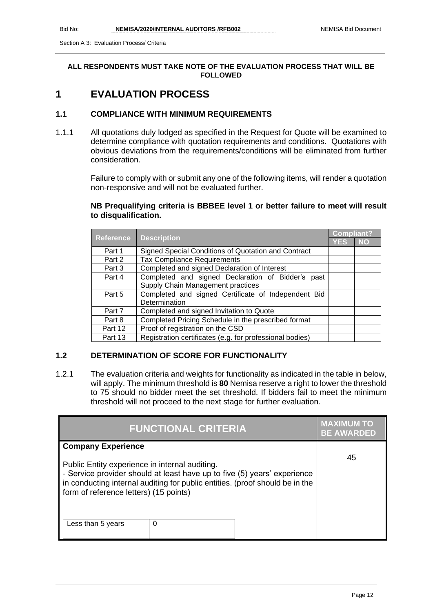## **ALL RESPONDENTS MUST TAKE NOTE OF THE EVALUATION PROCESS THAT WILL BE FOLLOWED**

# **1 EVALUATION PROCESS**

## **1.1 COMPLIANCE WITH MINIMUM REQUIREMENTS**

1.1.1 All quotations duly lodged as specified in the Request for Quote will be examined to determine compliance with quotation requirements and conditions. Quotations with obvious deviations from the requirements/conditions will be eliminated from further consideration.

> Failure to comply with or submit any one of the following items, will render a quotation non-responsive and will not be evaluated further.

## **NB Prequalifying criteria is BBBEE level 1 or better failure to meet will result to disqualification.**

|           | <b>Description</b>                                       |            | <b>Compliant?</b> |  |
|-----------|----------------------------------------------------------|------------|-------------------|--|
| Reference |                                                          | <b>YES</b> | <b>NO</b>         |  |
| Part 1    | Signed Special Conditions of Quotation and Contract      |            |                   |  |
| Part 2    | <b>Tax Compliance Requirements</b>                       |            |                   |  |
| Part 3    | Completed and signed Declaration of Interest             |            |                   |  |
| Part 4    | Completed and signed Declaration of Bidder's past        |            |                   |  |
|           | Supply Chain Management practices                        |            |                   |  |
| Part 5    | Completed and signed Certificate of Independent Bid      |            |                   |  |
|           | Determination                                            |            |                   |  |
| Part 7    | Completed and signed Invitation to Quote                 |            |                   |  |
| Part 8    | Completed Pricing Schedule in the prescribed format      |            |                   |  |
| Part 12   | Proof of registration on the CSD                         |            |                   |  |
| Part 13   | Registration certificates (e.g. for professional bodies) |            |                   |  |

# **1.2 DETERMINATION OF SCORE FOR FUNCTIONALITY**

1.2.1 The evaluation criteria and weights for functionality as indicated in the table in below, will apply. The minimum threshold is **80** Nemisa reserve a right to lower the threshold to 75 should no bidder meet the set threshold. If bidders fail to meet the minimum threshold will not proceed to the next stage for further evaluation.

| <b>FUNCTIONAL CRITERIA</b>                                                                                                                                                                                                                                                        | <b>MAXIMUM TO</b><br><b>BE AWARDED</b> |
|-----------------------------------------------------------------------------------------------------------------------------------------------------------------------------------------------------------------------------------------------------------------------------------|----------------------------------------|
| <b>Company Experience</b><br>Public Entity experience in internal auditing.<br>- Service provider should at least have up to five (5) years' experience<br>in conducting internal auditing for public entities. (proof should be in the<br>form of reference letters) (15 points) | 45                                     |
| Less than 5 years<br>0                                                                                                                                                                                                                                                            |                                        |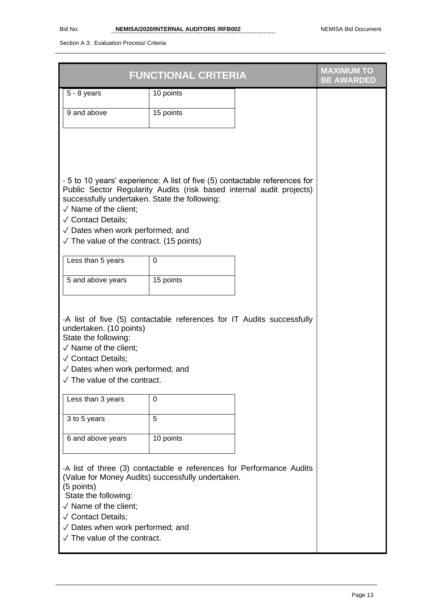|                                                                                                                                                                                                                                                                                                                                                            | <b>FUNCTIONAL CRITERIA</b> | <b>MAXIMUM TO</b><br><b>BE AWARDED</b> |
|------------------------------------------------------------------------------------------------------------------------------------------------------------------------------------------------------------------------------------------------------------------------------------------------------------------------------------------------------------|----------------------------|----------------------------------------|
| $5 - 8$ years                                                                                                                                                                                                                                                                                                                                              | 10 points                  |                                        |
| 9 and above                                                                                                                                                                                                                                                                                                                                                | 15 points                  |                                        |
|                                                                                                                                                                                                                                                                                                                                                            |                            |                                        |
| - 5 to 10 years' experience: A list of five (5) contactable references for<br>Public Sector Regularity Audits (risk based internal audit projects)<br>successfully undertaken. State the following:<br>$\sqrt{}$ Name of the client;<br>√ Contact Details;<br>$\sqrt{}$ Dates when work performed; and<br>$\sqrt{}$ The value of the contract. (15 points) |                            |                                        |
| Less than 5 years                                                                                                                                                                                                                                                                                                                                          | $\mathbf 0$                |                                        |
| $\overline{5}$ and above years                                                                                                                                                                                                                                                                                                                             | 15 points                  |                                        |
| -A list of five (5) contactable references for IT Audits successfully<br>undertaken. (10 points)<br>State the following:<br>$\sqrt{}$ Name of the client;<br>√ Contact Details;<br>$\sqrt{}$ Dates when work performed; and<br>$\sqrt{}$ The value of the contract.                                                                                        |                            |                                        |
| Less than 3 years                                                                                                                                                                                                                                                                                                                                          | $\Omega$                   |                                        |
| 3 to 5 years                                                                                                                                                                                                                                                                                                                                               | 5                          |                                        |
| 6 and above years                                                                                                                                                                                                                                                                                                                                          | 10 points                  |                                        |
| -A list of three (3) contactable e references for Performance Audits<br>(Value for Money Audits) successfully undertaken.<br>(5 points)<br>State the following:<br>$\sqrt{}$ Name of the client;<br>√ Contact Details;<br>$\sqrt{}$ Dates when work performed; and<br>$\sqrt{}$ The value of the contract.                                                 |                            |                                        |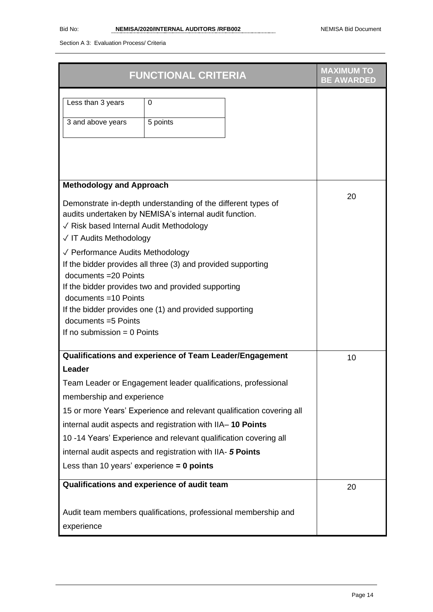|                                                                                                                                                                                                         | <b>FUNCTIONAL CRITERIA</b> |    | <b>MAXIMUM TO</b><br><b>BE AWARDED</b> |
|---------------------------------------------------------------------------------------------------------------------------------------------------------------------------------------------------------|----------------------------|----|----------------------------------------|
| Less than 3 years<br>3 and above years                                                                                                                                                                  | 0<br>5 points              |    |                                        |
| <b>Methodology and Approach</b>                                                                                                                                                                         |                            |    |                                        |
| Demonstrate in-depth understanding of the different types of<br>audits undertaken by NEMISA's internal audit function.<br>√ Risk based Internal Audit Methodology<br>√ IT Audits Methodology            |                            | 20 |                                        |
| √ Performance Audits Methodology<br>If the bidder provides all three (3) and provided supporting<br>documents = 20 Points<br>If the bidder provides two and provided supporting<br>documents =10 Points |                            |    |                                        |
| If the bidder provides one (1) and provided supporting<br>documents = 5 Points<br>If no submission $= 0$ Points                                                                                         |                            |    |                                        |
| Qualifications and experience of Team Leader/Engagement                                                                                                                                                 |                            |    | 10                                     |
| Leader<br>Team Leader or Engagement leader qualifications, professional<br>membership and experience<br>15 or more Years' Experience and relevant qualification covering all                            |                            |    |                                        |
| internal audit aspects and registration with IIA-10 Points                                                                                                                                              |                            |    |                                        |
| 10-14 Years' Experience and relevant qualification covering all                                                                                                                                         |                            |    |                                        |
| internal audit aspects and registration with IIA- 5 Points                                                                                                                                              |                            |    |                                        |
| Less than 10 years' experience $= 0$ points                                                                                                                                                             |                            |    |                                        |
| Qualifications and experience of audit team                                                                                                                                                             |                            |    | 20                                     |
| Audit team members qualifications, professional membership and                                                                                                                                          |                            |    |                                        |
| experience                                                                                                                                                                                              |                            |    |                                        |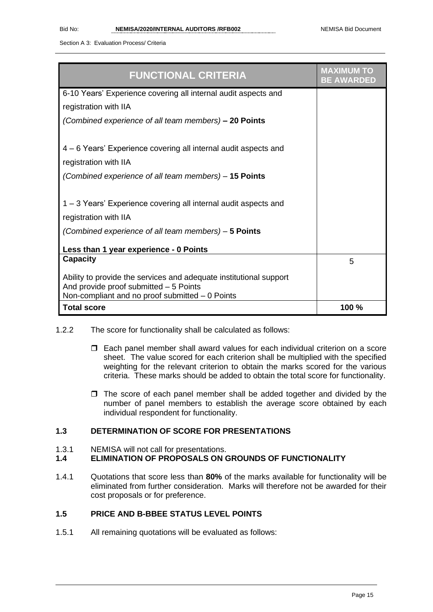| <b>FUNCTIONAL CRITERIA</b>                                                                                                                                        | <b>MAXIMUM TO</b><br><b>BE AWARDED</b> |
|-------------------------------------------------------------------------------------------------------------------------------------------------------------------|----------------------------------------|
| 6-10 Years' Experience covering all internal audit aspects and                                                                                                    |                                        |
| registration with IIA                                                                                                                                             |                                        |
| (Combined experience of all team members) - 20 Points                                                                                                             |                                        |
| 4 - 6 Years' Experience covering all internal audit aspects and                                                                                                   |                                        |
| registration with IIA                                                                                                                                             |                                        |
| (Combined experience of all team members) – 15 Points                                                                                                             |                                        |
| 1-3 Years' Experience covering all internal audit aspects and                                                                                                     |                                        |
| registration with IIA                                                                                                                                             |                                        |
| (Combined experience of all team members) - 5 Points                                                                                                              |                                        |
| Less than 1 year experience - 0 Points                                                                                                                            |                                        |
| <b>Capacity</b>                                                                                                                                                   | 5                                      |
| Ability to provide the services and adequate institutional support<br>And provide proof submitted $-5$ Points<br>Non-compliant and no proof submitted $-0$ Points |                                        |
| <b>Total score</b>                                                                                                                                                | 100 %                                  |

- 1.2.2 The score for functionality shall be calculated as follows:
	- Each panel member shall award values for each individual criterion on a score sheet. The value scored for each criterion shall be multiplied with the specified weighting for the relevant criterion to obtain the marks scored for the various criteria. These marks should be added to obtain the total score for functionality.
	- $\Box$  The score of each panel member shall be added together and divided by the number of panel members to establish the average score obtained by each individual respondent for functionality.

# **1.3 DETERMINATION OF SCORE FOR PRESENTATIONS**

- 1.3.1 NEMISA will not call for presentations.
- **1.4 ELIMINATION OF PROPOSALS ON GROUNDS OF FUNCTIONALITY**
- 1.4.1 Quotations that score less than **80%** of the marks available for functionality will be eliminated from further consideration. Marks will therefore not be awarded for their cost proposals or for preference.

# **1.5 PRICE AND B-BBEE STATUS LEVEL POINTS**

1.5.1 All remaining quotations will be evaluated as follows: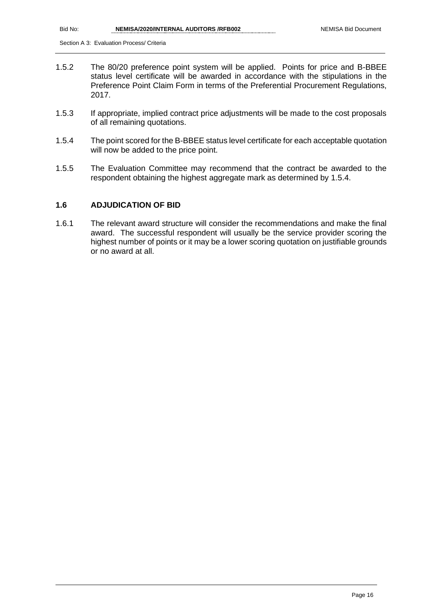- 1.5.2 The 80/20 preference point system will be applied. Points for price and B-BBEE status level certificate will be awarded in accordance with the stipulations in the Preference Point Claim Form in terms of the Preferential Procurement Regulations, 2017.
- 1.5.3 If appropriate, implied contract price adjustments will be made to the cost proposals of all remaining quotations.
- 1.5.4 The point scored for the B-BBEE status level certificate for each acceptable quotation will now be added to the price point.
- 1.5.5 The Evaluation Committee may recommend that the contract be awarded to the respondent obtaining the highest aggregate mark as determined by 1.5.4.

# **1.6 ADJUDICATION OF BID**

1.6.1 The relevant award structure will consider the recommendations and make the final award. The successful respondent will usually be the service provider scoring the highest number of points or it may be a lower scoring quotation on justifiable grounds or no award at all.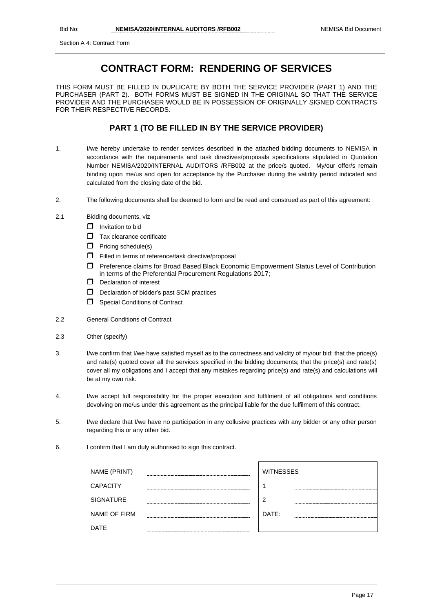# **CONTRACT FORM: RENDERING OF SERVICES**

THIS FORM MUST BE FILLED IN DUPLICATE BY BOTH THE SERVICE PROVIDER (PART 1) AND THE PURCHASER (PART 2). BOTH FORMS MUST BE SIGNED IN THE ORIGINAL SO THAT THE SERVICE PROVIDER AND THE PURCHASER WOULD BE IN POSSESSION OF ORIGINALLY SIGNED CONTRACTS FOR THEIR RESPECTIVE RECORDS.

## **PART 1 (TO BE FILLED IN BY THE SERVICE PROVIDER)**

- 1. I/we hereby undertake to render services described in the attached bidding documents to NEMISA in accordance with the requirements and task directives/proposals specifications stipulated in Quotation Number NEMISA/2020/INTERNAL AUDITORS /RFB002 at the price/s quoted. My/our offer/s remain binding upon me/us and open for acceptance by the Purchaser during the validity period indicated and calculated from the closing date of the bid.
- 2. The following documents shall be deemed to form and be read and construed as part of this agreement:
- 2.1 Bidding documents, viz
	- $\Box$  Invitation to bid
	- $\Box$  Tax clearance certificate
	- $\Box$  Pricing schedule(s)
	- Filled in terms of reference/task directive/proposal
	- Preference claims for Broad Based Black Economic Empowerment Status Level of Contribution in terms of the Preferential Procurement Regulations 2017;
	- D Declaration of interest
	- $\Box$  Declaration of bidder's past SCM practices
	- **Special Conditions of Contract**
- 2.2 General Conditions of Contract
- 2.3 Other (specify)
- 3. I/we confirm that I/we have satisfied myself as to the correctness and validity of my/our bid; that the price(s) and rate(s) quoted cover all the services specified in the bidding documents; that the price(s) and rate(s) cover all my obligations and I accept that any mistakes regarding price(s) and rate(s) and calculations will be at my own risk.
- 4. I/we accept full responsibility for the proper execution and fulfilment of all obligations and conditions devolving on me/us under this agreement as the principal liable for the due fulfilment of this contract.
- 5. I/we declare that I/we have no participation in any collusive practices with any bidder or any other person regarding this or any other bid.
- 6. I confirm that I am duly authorised to sign this contract.

| NAME (PRINT)     | <b>WITNESSES</b> |
|------------------|------------------|
| <b>CAPACITY</b>  |                  |
| <b>SIGNATURE</b> | 2                |
| NAME OF FIRM     | DATE:            |
| <b>DATE</b>      |                  |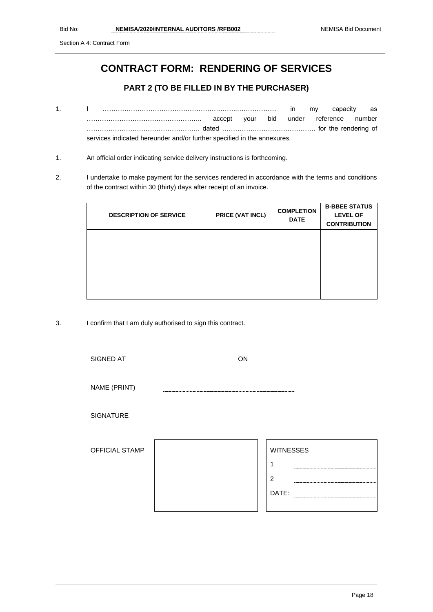Section A 4: Contract Form

# **CONTRACT FORM: RENDERING OF SERVICES**

# **PART 2 (TO BE FILLED IN BY THE PURCHASER)**

- 1. I ……………………………………………………..……………… in my capacity as …………………………………………….. accept your bid under reference number ……………………………………………. dated ……………………………………. for the rendering of services indicated hereunder and/or further specified in the annexures.
- 1. An official order indicating service delivery instructions is forthcoming.
- 2. I undertake to make payment for the services rendered in accordance with the terms and conditions of the contract within 30 (thirty) days after receipt of an invoice.

| <b>DESCRIPTION OF SERVICE</b> | PRICE (VAT INCL) | <b>COMPLETION</b><br><b>DATE</b> | <b>B-BBEE STATUS</b><br><b>LEVEL OF</b><br><b>CONTRIBUTION</b> |
|-------------------------------|------------------|----------------------------------|----------------------------------------------------------------|
|                               |                  |                                  |                                                                |
|                               |                  |                                  |                                                                |

3. I confirm that I am duly authorised to sign this contract.

| SIGNED AT             | ON |                  |
|-----------------------|----|------------------|
|                       |    |                  |
| NAME (PRINT)          |    |                  |
|                       |    |                  |
| <b>SIGNATURE</b>      |    |                  |
|                       |    |                  |
| <b>OFFICIAL STAMP</b> |    |                  |
|                       |    | <b>WITNESSES</b> |
|                       |    |                  |
|                       |    | $\overline{2}$   |
|                       |    | DATE:            |
|                       |    |                  |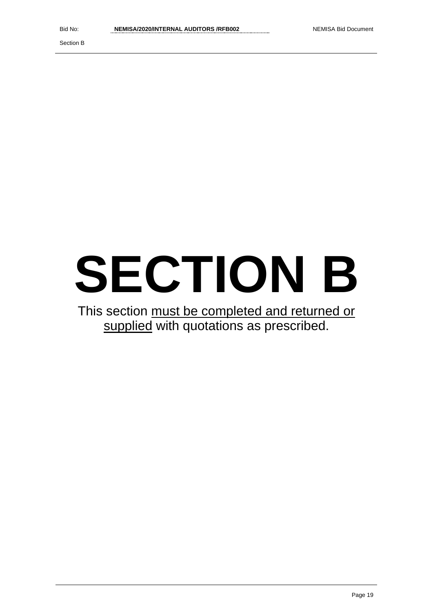Section B

# **SECTION B**

This section must be completed and returned or supplied with quotations as prescribed.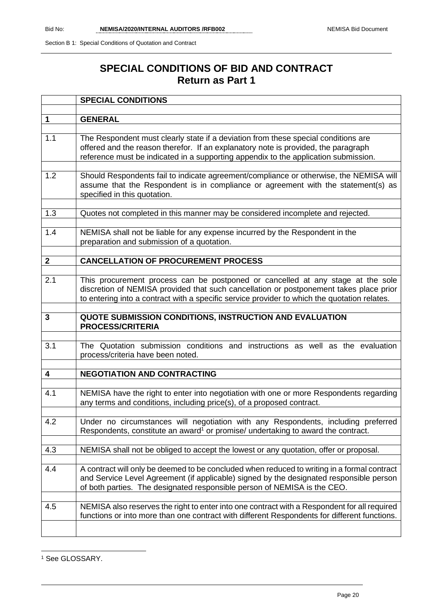# **SPECIAL CONDITIONS OF BID AND CONTRACT Return as Part 1**

|              | <b>SPECIAL CONDITIONS</b>                                                                                                                                                                                                                                                 |
|--------------|---------------------------------------------------------------------------------------------------------------------------------------------------------------------------------------------------------------------------------------------------------------------------|
|              |                                                                                                                                                                                                                                                                           |
| 1            | <b>GENERAL</b>                                                                                                                                                                                                                                                            |
|              |                                                                                                                                                                                                                                                                           |
| 1.1          | The Respondent must clearly state if a deviation from these special conditions are<br>offered and the reason therefor. If an explanatory note is provided, the paragraph<br>reference must be indicated in a supporting appendix to the application submission.           |
|              |                                                                                                                                                                                                                                                                           |
| 1.2          | Should Respondents fail to indicate agreement/compliance or otherwise, the NEMISA will<br>assume that the Respondent is in compliance or agreement with the statement(s) as<br>specified in this quotation.                                                               |
|              |                                                                                                                                                                                                                                                                           |
| 1.3          | Quotes not completed in this manner may be considered incomplete and rejected.                                                                                                                                                                                            |
| 1.4          | NEMISA shall not be liable for any expense incurred by the Respondent in the<br>preparation and submission of a quotation.                                                                                                                                                |
|              |                                                                                                                                                                                                                                                                           |
| $\mathbf{2}$ | <b>CANCELLATION OF PROCUREMENT PROCESS</b>                                                                                                                                                                                                                                |
|              |                                                                                                                                                                                                                                                                           |
| 2.1          | This procurement process can be postponed or cancelled at any stage at the sole<br>discretion of NEMISA provided that such cancellation or postponement takes place prior<br>to entering into a contract with a specific service provider to which the quotation relates. |
| 3            | QUOTE SUBMISSION CONDITIONS, INSTRUCTION AND EVALUATION                                                                                                                                                                                                                   |
|              | <b>PROCESS/CRITERIA</b>                                                                                                                                                                                                                                                   |
|              |                                                                                                                                                                                                                                                                           |
| 3.1          | The Quotation submission conditions and instructions as well as the evaluation<br>process/criteria have been noted.                                                                                                                                                       |
|              |                                                                                                                                                                                                                                                                           |
| 4            | <b>NEGOTIATION AND CONTRACTING</b>                                                                                                                                                                                                                                        |
| 4.1          | NEMISA have the right to enter into negotiation with one or more Respondents regarding<br>any terms and conditions, including price(s), of a proposed contract.                                                                                                           |
| 4.2          | Under no circumstances will negotiation with any Respondents, including preferred<br>Respondents, constitute an award <sup>1</sup> or promise/ undertaking to award the contract.                                                                                         |
|              |                                                                                                                                                                                                                                                                           |
| 4.3          | NEMISA shall not be obliged to accept the lowest or any quotation, offer or proposal.                                                                                                                                                                                     |
| 4.4          | A contract will only be deemed to be concluded when reduced to writing in a formal contract<br>and Service Level Agreement (if applicable) signed by the designated responsible person<br>of both parties. The designated responsible person of NEMISA is the CEO.        |
| 4.5          | NEMISA also reserves the right to enter into one contract with a Respondent for all required<br>functions or into more than one contract with different Respondents for different functions.                                                                              |
|              |                                                                                                                                                                                                                                                                           |

<sup>1</sup> See GLOSSARY.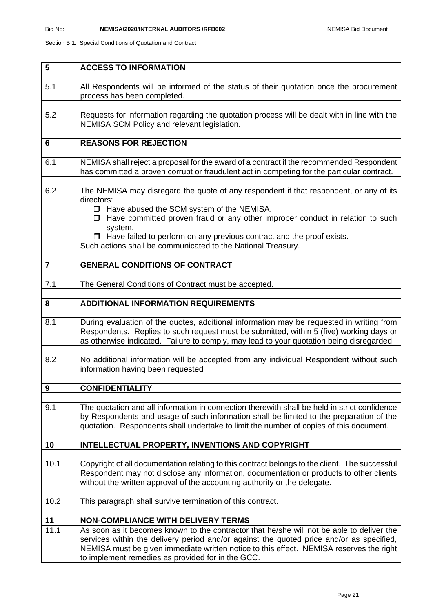| 5              | <b>ACCESS TO INFORMATION</b>                                                                                                                                                                                                                                                                                                                                                                                |  |  |  |  |
|----------------|-------------------------------------------------------------------------------------------------------------------------------------------------------------------------------------------------------------------------------------------------------------------------------------------------------------------------------------------------------------------------------------------------------------|--|--|--|--|
| 5.1            | All Respondents will be informed of the status of their quotation once the procurement<br>process has been completed.                                                                                                                                                                                                                                                                                       |  |  |  |  |
| 5.2            | Requests for information regarding the quotation process will be dealt with in line with the<br>NEMISA SCM Policy and relevant legislation.                                                                                                                                                                                                                                                                 |  |  |  |  |
| 6              | <b>REASONS FOR REJECTION</b>                                                                                                                                                                                                                                                                                                                                                                                |  |  |  |  |
| 6.1            | NEMISA shall reject a proposal for the award of a contract if the recommended Respondent<br>has committed a proven corrupt or fraudulent act in competing for the particular contract.                                                                                                                                                                                                                      |  |  |  |  |
| 6.2            | The NEMISA may disregard the quote of any respondent if that respondent, or any of its<br>directors:<br>$\Box$ Have abused the SCM system of the NEMISA.<br>$\Box$ Have committed proven fraud or any other improper conduct in relation to such<br>system.<br>$\Box$ Have failed to perform on any previous contract and the proof exists.<br>Such actions shall be communicated to the National Treasury. |  |  |  |  |
| $\overline{7}$ | <b>GENERAL CONDITIONS OF CONTRACT</b>                                                                                                                                                                                                                                                                                                                                                                       |  |  |  |  |
| 7.1            | The General Conditions of Contract must be accepted.                                                                                                                                                                                                                                                                                                                                                        |  |  |  |  |
| 8              | <b>ADDITIONAL INFORMATION REQUIREMENTS</b>                                                                                                                                                                                                                                                                                                                                                                  |  |  |  |  |
| 8.1            | During evaluation of the quotes, additional information may be requested in writing from<br>Respondents. Replies to such request must be submitted, within 5 (five) working days or<br>as otherwise indicated. Failure to comply, may lead to your quotation being disregarded.                                                                                                                             |  |  |  |  |
| 8.2            | No additional information will be accepted from any individual Respondent without such<br>information having been requested                                                                                                                                                                                                                                                                                 |  |  |  |  |
| 9              | <b>CONFIDENTIALITY</b>                                                                                                                                                                                                                                                                                                                                                                                      |  |  |  |  |
| 9.1            | The quotation and all information in connection therewith shall be held in strict confidence<br>by Respondents and usage of such information shall be limited to the preparation of the<br>quotation. Respondents shall undertake to limit the number of copies of this document.                                                                                                                           |  |  |  |  |
| 10             | INTELLECTUAL PROPERTY, INVENTIONS AND COPYRIGHT                                                                                                                                                                                                                                                                                                                                                             |  |  |  |  |
| 10.1           | Copyright of all documentation relating to this contract belongs to the client. The successful<br>Respondent may not disclose any information, documentation or products to other clients<br>without the written approval of the accounting authority or the delegate.                                                                                                                                      |  |  |  |  |
| 10.2           | This paragraph shall survive termination of this contract.                                                                                                                                                                                                                                                                                                                                                  |  |  |  |  |
| 11             | <b>NON-COMPLIANCE WITH DELIVERY TERMS</b>                                                                                                                                                                                                                                                                                                                                                                   |  |  |  |  |
| 11.1           | As soon as it becomes known to the contractor that he/she will not be able to deliver the<br>services within the delivery period and/or against the quoted price and/or as specified,<br>NEMISA must be given immediate written notice to this effect. NEMISA reserves the right<br>to implement remedies as provided for in the GCC.                                                                       |  |  |  |  |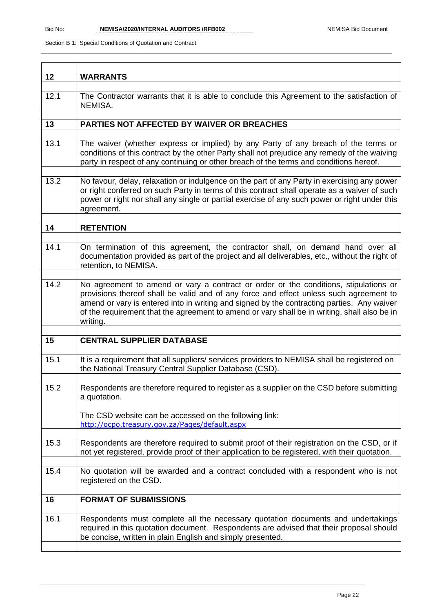| 12   | <b>WARRANTS</b>                                                                                                                                                                                                                                                                                                                                                                          |  |  |  |
|------|------------------------------------------------------------------------------------------------------------------------------------------------------------------------------------------------------------------------------------------------------------------------------------------------------------------------------------------------------------------------------------------|--|--|--|
| 12.1 | The Contractor warrants that it is able to conclude this Agreement to the satisfaction of<br>NEMISA.                                                                                                                                                                                                                                                                                     |  |  |  |
|      |                                                                                                                                                                                                                                                                                                                                                                                          |  |  |  |
| 13   | PARTIES NOT AFFECTED BY WAIVER OR BREACHES                                                                                                                                                                                                                                                                                                                                               |  |  |  |
| 13.1 | The waiver (whether express or implied) by any Party of any breach of the terms or<br>conditions of this contract by the other Party shall not prejudice any remedy of the waiving<br>party in respect of any continuing or other breach of the terms and conditions hereof.                                                                                                             |  |  |  |
| 13.2 | No favour, delay, relaxation or indulgence on the part of any Party in exercising any power<br>or right conferred on such Party in terms of this contract shall operate as a waiver of such<br>power or right nor shall any single or partial exercise of any such power or right under this<br>agreement.                                                                               |  |  |  |
| 14   | <b>RETENTION</b>                                                                                                                                                                                                                                                                                                                                                                         |  |  |  |
|      |                                                                                                                                                                                                                                                                                                                                                                                          |  |  |  |
| 14.1 | On termination of this agreement, the contractor shall, on demand hand over all<br>documentation provided as part of the project and all deliverables, etc., without the right of<br>retention, to NEMISA.                                                                                                                                                                               |  |  |  |
| 14.2 | No agreement to amend or vary a contract or order or the conditions, stipulations or<br>provisions thereof shall be valid and of any force and effect unless such agreement to<br>amend or vary is entered into in writing and signed by the contracting parties. Any waiver<br>of the requirement that the agreement to amend or vary shall be in writing, shall also be in<br>writing. |  |  |  |
|      |                                                                                                                                                                                                                                                                                                                                                                                          |  |  |  |
| 15   | <b>CENTRAL SUPPLIER DATABASE</b>                                                                                                                                                                                                                                                                                                                                                         |  |  |  |
| 15.1 | It is a requirement that all suppliers/ services providers to NEMISA shall be registered on<br>the National Treasury Central Supplier Database (CSD).                                                                                                                                                                                                                                    |  |  |  |
| 15.2 | Respondents are therefore required to register as a supplier on the CSD before submitting<br>a quotation.                                                                                                                                                                                                                                                                                |  |  |  |
|      | The CSD website can be accessed on the following link:<br>http://ocpo.treasury.gov.za/Pages/default.aspx                                                                                                                                                                                                                                                                                 |  |  |  |
| 15.3 | Respondents are therefore required to submit proof of their registration on the CSD, or if<br>not yet registered, provide proof of their application to be registered, with their quotation.                                                                                                                                                                                             |  |  |  |
| 15.4 | No quotation will be awarded and a contract concluded with a respondent who is not<br>registered on the CSD.                                                                                                                                                                                                                                                                             |  |  |  |
| 16   | <b>FORMAT OF SUBMISSIONS</b>                                                                                                                                                                                                                                                                                                                                                             |  |  |  |
|      |                                                                                                                                                                                                                                                                                                                                                                                          |  |  |  |
| 16.1 | Respondents must complete all the necessary quotation documents and undertakings<br>required in this quotation document. Respondents are advised that their proposal should<br>be concise, written in plain English and simply presented.                                                                                                                                                |  |  |  |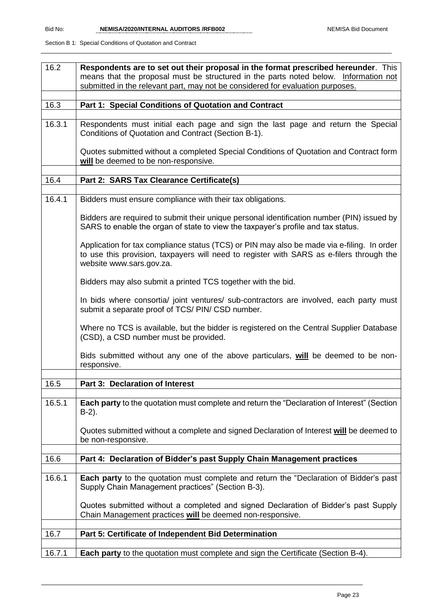| 16.2   | Respondents are to set out their proposal in the format prescribed hereunder. This<br>means that the proposal must be structured in the parts noted below. Information not<br>submitted in the relevant part, may not be considered for evaluation purposes. |  |  |  |
|--------|--------------------------------------------------------------------------------------------------------------------------------------------------------------------------------------------------------------------------------------------------------------|--|--|--|
| 16.3   | Part 1: Special Conditions of Quotation and Contract                                                                                                                                                                                                         |  |  |  |
| 16.3.1 | Respondents must initial each page and sign the last page and return the Special<br>Conditions of Quotation and Contract (Section B-1).                                                                                                                      |  |  |  |
|        | Quotes submitted without a completed Special Conditions of Quotation and Contract form<br>will be deemed to be non-responsive.                                                                                                                               |  |  |  |
| 16.4   | Part 2: SARS Tax Clearance Certificate(s)                                                                                                                                                                                                                    |  |  |  |
|        |                                                                                                                                                                                                                                                              |  |  |  |
| 16.4.1 | Bidders must ensure compliance with their tax obligations.                                                                                                                                                                                                   |  |  |  |
|        | Bidders are required to submit their unique personal identification number (PIN) issued by<br>SARS to enable the organ of state to view the taxpayer's profile and tax status.                                                                               |  |  |  |
|        | Application for tax compliance status (TCS) or PIN may also be made via e-filing. In order<br>to use this provision, taxpayers will need to register with SARS as e-filers through the<br>website www.sars.gov.za.                                           |  |  |  |
|        | Bidders may also submit a printed TCS together with the bid.                                                                                                                                                                                                 |  |  |  |
|        | In bids where consortia/ joint ventures/ sub-contractors are involved, each party must<br>submit a separate proof of TCS/ PIN/ CSD number.                                                                                                                   |  |  |  |
|        | Where no TCS is available, but the bidder is registered on the Central Supplier Database<br>(CSD), a CSD number must be provided.                                                                                                                            |  |  |  |
|        | Bids submitted without any one of the above particulars, will be deemed to be non-<br>responsive.                                                                                                                                                            |  |  |  |
| 16.5   | Part 3: Declaration of Interest                                                                                                                                                                                                                              |  |  |  |
|        |                                                                                                                                                                                                                                                              |  |  |  |
| 16.5.1 | Each party to the quotation must complete and return the "Declaration of Interest" (Section<br>$B-2$ ).                                                                                                                                                      |  |  |  |
|        | Quotes submitted without a complete and signed Declaration of Interest will be deemed to<br>be non-responsive.                                                                                                                                               |  |  |  |
| 16.6   | Part 4: Declaration of Bidder's past Supply Chain Management practices                                                                                                                                                                                       |  |  |  |
|        |                                                                                                                                                                                                                                                              |  |  |  |
| 16.6.1 | Each party to the quotation must complete and return the "Declaration of Bidder's past<br>Supply Chain Management practices" (Section B-3).                                                                                                                  |  |  |  |
|        | Quotes submitted without a completed and signed Declaration of Bidder's past Supply<br>Chain Management practices will be deemed non-responsive.                                                                                                             |  |  |  |
| 16.7   | Part 5: Certificate of Independent Bid Determination                                                                                                                                                                                                         |  |  |  |
|        |                                                                                                                                                                                                                                                              |  |  |  |
| 16.7.1 | <b>Each party</b> to the quotation must complete and sign the Certificate (Section B-4).                                                                                                                                                                     |  |  |  |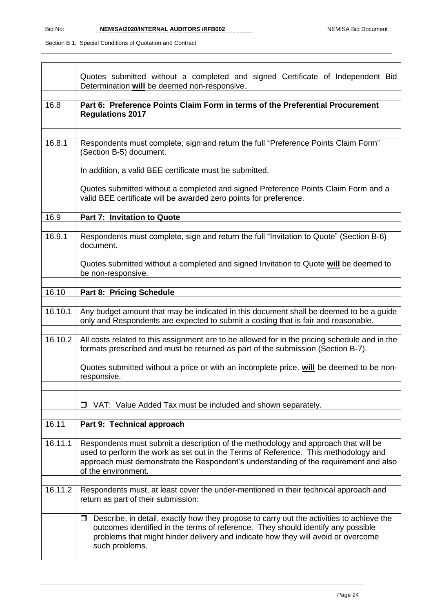|         | Quotes submitted without a completed and signed Certificate of Independent Bid<br>Determination will be deemed non-responsive.                                                                                                                                                               |  |  |  |  |
|---------|----------------------------------------------------------------------------------------------------------------------------------------------------------------------------------------------------------------------------------------------------------------------------------------------|--|--|--|--|
| 16.8    | Part 6: Preference Points Claim Form in terms of the Preferential Procurement<br><b>Regulations 2017</b>                                                                                                                                                                                     |  |  |  |  |
|         |                                                                                                                                                                                                                                                                                              |  |  |  |  |
| 16.8.1  | Respondents must complete, sign and return the full "Preference Points Claim Form"<br>(Section B-5) document.                                                                                                                                                                                |  |  |  |  |
|         | In addition, a valid BEE certificate must be submitted.                                                                                                                                                                                                                                      |  |  |  |  |
|         | Quotes submitted without a completed and signed Preference Points Claim Form and a<br>valid BEE certificate will be awarded zero points for preference.                                                                                                                                      |  |  |  |  |
| 16.9    | <b>Part 7: Invitation to Quote</b>                                                                                                                                                                                                                                                           |  |  |  |  |
|         |                                                                                                                                                                                                                                                                                              |  |  |  |  |
| 16.9.1  | Respondents must complete, sign and return the full "Invitation to Quote" (Section B-6)<br>document.                                                                                                                                                                                         |  |  |  |  |
|         | Quotes submitted without a completed and signed Invitation to Quote will be deemed to<br>be non-responsive.                                                                                                                                                                                  |  |  |  |  |
| 16.10   | <b>Part 8: Pricing Schedule</b>                                                                                                                                                                                                                                                              |  |  |  |  |
|         |                                                                                                                                                                                                                                                                                              |  |  |  |  |
| 16.10.1 | Any budget amount that may be indicated in this document shall be deemed to be a guide<br>only and Respondents are expected to submit a costing that is fair and reasonable.                                                                                                                 |  |  |  |  |
| 16.10.2 | All costs related to this assignment are to be allowed for in the pricing schedule and in the<br>formats prescribed and must be returned as part of the submission (Section B-7).                                                                                                            |  |  |  |  |
|         | Quotes submitted without a price or with an incomplete price, will be deemed to be non-<br>responsive.                                                                                                                                                                                       |  |  |  |  |
|         |                                                                                                                                                                                                                                                                                              |  |  |  |  |
|         | VAT: Value Added Tax must be included and shown separately.<br>$\Box$                                                                                                                                                                                                                        |  |  |  |  |
|         |                                                                                                                                                                                                                                                                                              |  |  |  |  |
| 16.11   | Part 9: Technical approach                                                                                                                                                                                                                                                                   |  |  |  |  |
| 16.11.1 | Respondents must submit a description of the methodology and approach that will be<br>used to perform the work as set out in the Terms of Reference. This methodology and<br>approach must demonstrate the Respondent's understanding of the requirement and also<br>of the environment.     |  |  |  |  |
| 16.11.2 | Respondents must, at least cover the under-mentioned in their technical approach and<br>return as part of their submission:                                                                                                                                                                  |  |  |  |  |
|         | Describe, in detail, exactly how they propose to carry out the activities to achieve the<br>$\Box$<br>outcomes identified in the terms of reference. They should identify any possible<br>problems that might hinder delivery and indicate how they will avoid or overcome<br>such problems. |  |  |  |  |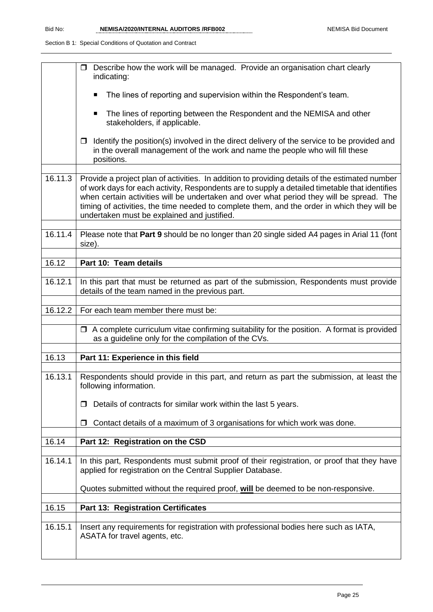|         | Describe how the work will be managed. Provide an organisation chart clearly<br>$\Box$<br>indicating:                                                                                                                                                                                                                                                                                                                                      |  |  |  |
|---------|--------------------------------------------------------------------------------------------------------------------------------------------------------------------------------------------------------------------------------------------------------------------------------------------------------------------------------------------------------------------------------------------------------------------------------------------|--|--|--|
|         | The lines of reporting and supervision within the Respondent's team.                                                                                                                                                                                                                                                                                                                                                                       |  |  |  |
|         | The lines of reporting between the Respondent and the NEMISA and other<br>п<br>stakeholders, if applicable.                                                                                                                                                                                                                                                                                                                                |  |  |  |
|         | Identify the position(s) involved in the direct delivery of the service to be provided and<br>in the overall management of the work and name the people who will fill these<br>positions.                                                                                                                                                                                                                                                  |  |  |  |
| 16.11.3 | Provide a project plan of activities. In addition to providing details of the estimated number<br>of work days for each activity, Respondents are to supply a detailed timetable that identifies<br>when certain activities will be undertaken and over what period they will be spread. The<br>timing of activities, the time needed to complete them, and the order in which they will be<br>undertaken must be explained and justified. |  |  |  |
| 16.11.4 | Please note that Part 9 should be no longer than 20 single sided A4 pages in Arial 11 (font<br>size).                                                                                                                                                                                                                                                                                                                                      |  |  |  |
| 16.12   | Part 10: Team details                                                                                                                                                                                                                                                                                                                                                                                                                      |  |  |  |
| 16.12.1 | In this part that must be returned as part of the submission, Respondents must provide<br>details of the team named in the previous part.                                                                                                                                                                                                                                                                                                  |  |  |  |
| 16.12.2 | For each team member there must be:                                                                                                                                                                                                                                                                                                                                                                                                        |  |  |  |
|         | $\Box$ A complete curriculum vitae confirming suitability for the position. A format is provided<br>as a guideline only for the compilation of the CVs.                                                                                                                                                                                                                                                                                    |  |  |  |
| 16.13   | Part 11: Experience in this field                                                                                                                                                                                                                                                                                                                                                                                                          |  |  |  |
| 16.13.1 | Respondents should provide in this part, and return as part the submission, at least the<br>following information.                                                                                                                                                                                                                                                                                                                         |  |  |  |
|         | Details of contracts for similar work within the last 5 years.                                                                                                                                                                                                                                                                                                                                                                             |  |  |  |
|         | Contact details of a maximum of 3 organisations for which work was done.<br>□                                                                                                                                                                                                                                                                                                                                                              |  |  |  |
| 16.14   | Part 12: Registration on the CSD                                                                                                                                                                                                                                                                                                                                                                                                           |  |  |  |
| 16.14.1 | In this part, Respondents must submit proof of their registration, or proof that they have<br>applied for registration on the Central Supplier Database.                                                                                                                                                                                                                                                                                   |  |  |  |
|         | Quotes submitted without the required proof, will be deemed to be non-responsive.                                                                                                                                                                                                                                                                                                                                                          |  |  |  |
| 16.15   | <b>Part 13: Registration Certificates</b>                                                                                                                                                                                                                                                                                                                                                                                                  |  |  |  |
| 16.15.1 | Insert any requirements for registration with professional bodies here such as IATA,<br>ASATA for travel agents, etc.                                                                                                                                                                                                                                                                                                                      |  |  |  |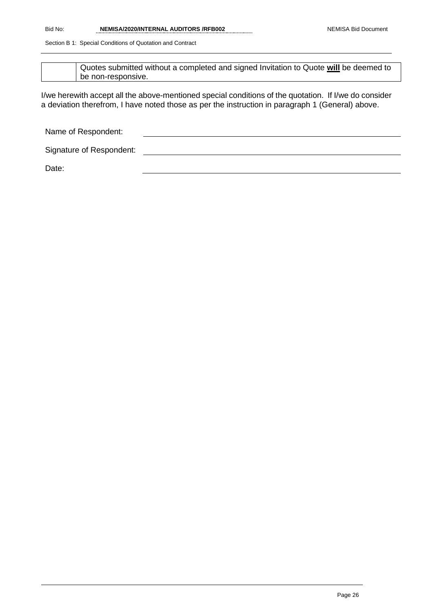Quotes submitted without a completed and signed Invitation to Quote **will** be deemed to be non-responsive.

I/we herewith accept all the above-mentioned special conditions of the quotation. If I/we do consider a deviation therefrom, I have noted those as per the instruction in paragraph 1 (General) above.

<u> 1989 - Johann Barn, mars eta bainar eta bainar eta baina eta baina eta baina eta baina eta baina eta baina e</u>

Name of Respondent:

# Signature of Respondent:

Date: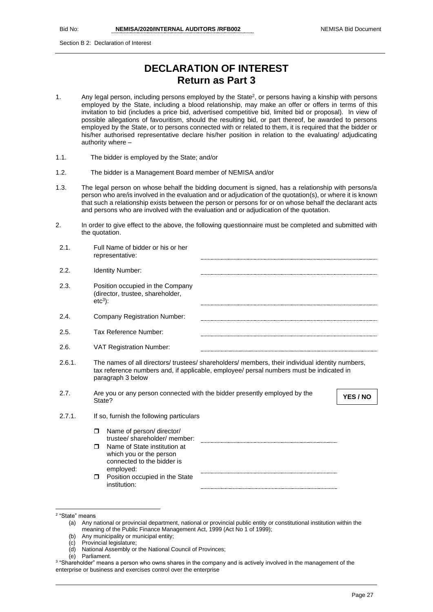Section B 2: Declaration of Interest

# **DECLARATION OF INTEREST Return as Part 3**

- 1. Any legal person, including persons employed by the State<sup>2</sup>, or persons having a kinship with persons employed by the State, including a blood relationship, may make an offer or offers in terms of this invitation to bid (includes a price bid, advertised competitive bid, limited bid or proposal). In view of possible allegations of favouritism, should the resulting bid, or part thereof, be awarded to persons employed by the State, or to persons connected with or related to them, it is required that the bidder or his/her authorised representative declare his/her position in relation to the evaluating/ adjudicating authority where –
- 1.1. The bidder is employed by the State; and/or
- 1.2. The bidder is a Management Board member of NEMISA and/or
- 1.3. The legal person on whose behalf the bidding document is signed, has a relationship with persons/a person who are/is involved in the evaluation and or adjudication of the quotation(s), or where it is known that such a relationship exists between the person or persons for or on whose behalf the declarant acts and persons who are involved with the evaluation and or adjudication of the quotation.
- 2. In order to give effect to the above, the following questionnaire must be completed and submitted with the quotation.

| 2.1.   | Full Name of bidder or his or her<br>representative:                                                                                                                                                            |
|--------|-----------------------------------------------------------------------------------------------------------------------------------------------------------------------------------------------------------------|
| 2.2.   | Identity Number:                                                                                                                                                                                                |
| 2.3.   | Position occupied in the Company<br>(director, trustee, shareholder,<br>$etc3$ :                                                                                                                                |
| 2.4.   | <b>Company Registration Number:</b>                                                                                                                                                                             |
| 2.5.   | Tax Reference Number:                                                                                                                                                                                           |
| 2.6.   | <b>VAT Registration Number:</b>                                                                                                                                                                                 |
| 2.6.1. | The names of all directors/ trustees/ shareholders/ members, their individual identity numbers,<br>tax reference numbers and, if applicable, employee/ persal numbers must be indicated in<br>paragraph 3 below |
| 2.7.   | Are you or any person connected with the bidder presently employed by the<br>YES / NO<br>State?                                                                                                                 |
| 2.7.1. | If so, furnish the following particulars                                                                                                                                                                        |
|        | Name of person/ director/<br>$\Box$<br>trustee/ shareholder/ member:                                                                                                                                            |
|        | Name of State institution at<br>⊓<br>which you or the person<br>connected to the bidder is<br>employed:                                                                                                         |
|        | Position occupied in the State<br>$\Box$<br>institution:                                                                                                                                                        |

- (b) Any municipality or municipal entity;
- (c) Provincial legislature;
- (d) National Assembly or the National Council of Provinces;
- (e) Parliament.

<sup>2</sup> "State" means

<sup>(</sup>a) Any national or provincial department, national or provincial public entity or constitutional institution within the meaning of the Public Finance Management Act, 1999 (Act No 1 of 1999);

<sup>3</sup> "Shareholder" means a person who owns shares in the company and is actively involved in the management of the enterprise or business and exercises control over the enterprise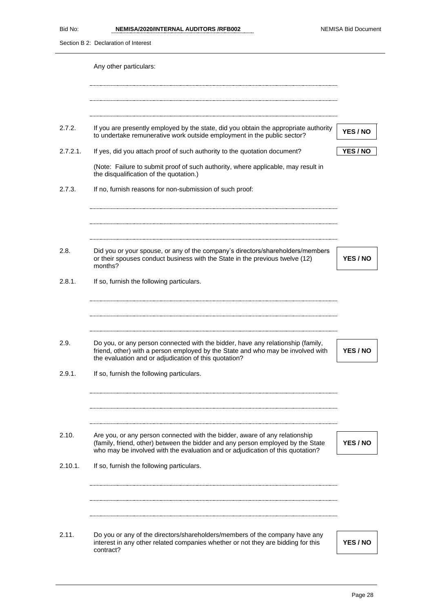Section B 2: Declaration of Interest Any other particulars: 2.7.2. If you are presently employed by the state, did you obtain the appropriate authority If you are presently employed by the state, ald you obtain the appropriate authority **YES / NO**<br>to undertake remunerative work outside employment in the public sector? 2.7.2.1. If yes, did you attach proof of such authority to the quotation document? **YES / NO** (Note: Failure to submit proof of such authority, where applicable, may result in the disqualification of the quotation.) 2.7.3. If no, furnish reasons for non-submission of such proof: 2.8. Did you or your spouse, or any of the company's directors/shareholders/members or their spouses conduct business with the State in the previous twelve (12) **YES / NO** months? 2.8.1. If so, furnish the following particulars. 2.9. Do you, or any person connected with the bidder, have any relationship (family, friend, other) with a person employed by the State and who may be involved with **YES / NO** the evaluation and or adjudication of this quotation? 2.9.1. If so, furnish the following particulars. 2.10. Are you, or any person connected with the bidder, aware of any relationship (family, friend, other) between the bidder and any person employed by the State **YES / NO** who may be involved with the evaluation and or adjudication of this quotation? 2.10.1. If so, furnish the following particulars. 2.11. Do you or any of the directors/shareholders/members of the company have any interest in any other related companies whether or not they are bidding for this **YES / NO**contract?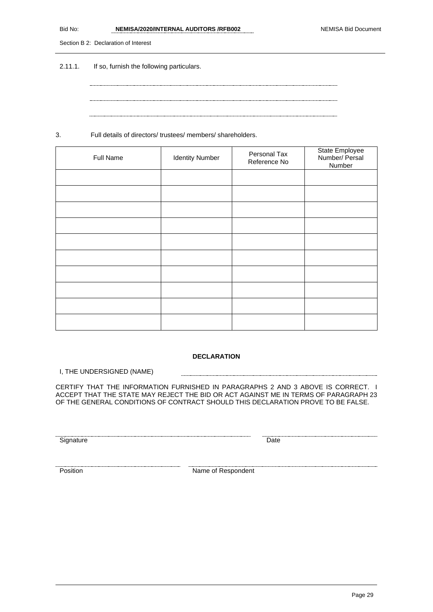| Bid No: | NEMISA/2020/INTERNAL AUDITORS /RFB002 | <b>NEMISA Bid Document</b> |
|---------|---------------------------------------|----------------------------|
|         |                                       |                            |

Section B 2: Declaration of Interest

2.11.1. If so, furnish the following particulars.

3. Full details of directors/ trustees/ members/ shareholders.

| Full Name | <b>Identity Number</b> | Personal Tax<br>Reference No | State Employee<br>Number/ Persal<br>Number |
|-----------|------------------------|------------------------------|--------------------------------------------|
|           |                        |                              |                                            |
|           |                        |                              |                                            |
|           |                        |                              |                                            |
|           |                        |                              |                                            |
|           |                        |                              |                                            |
|           |                        |                              |                                            |
|           |                        |                              |                                            |
|           |                        |                              |                                            |
|           |                        |                              |                                            |
|           |                        |                              |                                            |

#### **DECLARATION**

I, THE UNDERSIGNED (NAME)

CERTIFY THAT THE INFORMATION FURNISHED IN PARAGRAPHS 2 AND 3 ABOVE IS CORRECT. I ACCEPT THAT THE STATE MAY REJECT THE BID OR ACT AGAINST ME IN TERMS OF PARAGRAPH 23 OF THE GENERAL CONDITIONS OF CONTRACT SHOULD THIS DECLARATION PROVE TO BE FALSE.

Signature Date

Position Name of Respondent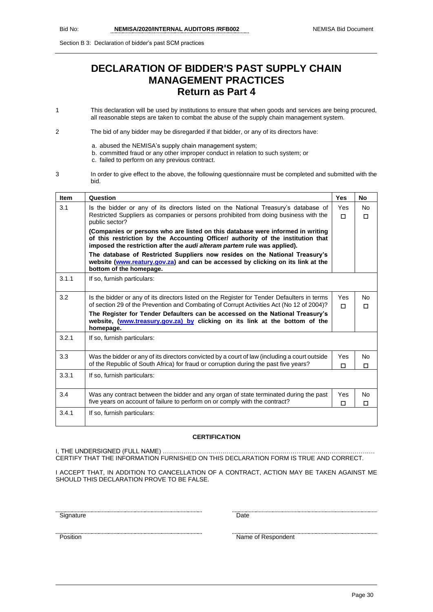Section B 3: Declaration of bidder's past SCM practices

# **DECLARATION OF BIDDER'S PAST SUPPLY CHAIN MANAGEMENT PRACTICES Return as Part 4**

1 This declaration will be used by institutions to ensure that when goods and services are being procured, all reasonable steps are taken to combat the abuse of the supply chain management system.

2 The bid of any bidder may be disregarded if that bidder, or any of its directors have:

- a. abused the NEMISA's supply chain management system;
- b. committed fraud or any other improper conduct in relation to such system; or
	- c. failed to perform on any previous contract.
- 3 In order to give effect to the above, the following questionnaire must be completed and submitted with the bid.

| <b>Item</b> | Question                                                                                                                                                                                                                                       | <b>Yes</b>      | No.           |  |
|-------------|------------------------------------------------------------------------------------------------------------------------------------------------------------------------------------------------------------------------------------------------|-----------------|---------------|--|
| 3.1         | Is the bidder or any of its directors listed on the National Treasury's database of<br>Restricted Suppliers as companies or persons prohibited from doing business with the<br>public sector?                                                  | Yes<br>$\Box$   | No.<br>П      |  |
|             | (Companies or persons who are listed on this database were informed in writing<br>of this restriction by the Accounting Officer/ authority of the institution that<br>imposed the restriction after the audi alteram partem rule was applied). |                 |               |  |
|             | The database of Restricted Suppliers now resides on the National Treasury's<br>website (www.reatury.gov.za) and can be accessed by clicking on its link at the<br>bottom of the homepage.                                                      |                 |               |  |
| 3.1.1       | If so, furnish particulars:                                                                                                                                                                                                                    |                 |               |  |
| 3.2         | Is the bidder or any of its directors listed on the Register for Tender Defaulters in terms<br>of section 29 of the Prevention and Combating of Corrupt Activities Act (No 12 of 2004)?                                                        | <b>Yes</b><br>П | No.<br>$\Box$ |  |
|             | The Register for Tender Defaulters can be accessed on the National Treasury's<br>website, (www.treasury.gov.za) by clicking on its link at the bottom of the<br>homepage.                                                                      |                 |               |  |
| 3.2.1       | If so, furnish particulars:                                                                                                                                                                                                                    |                 |               |  |
| 3.3         | Was the bidder or any of its directors convicted by a court of law (including a court outside<br>of the Republic of South Africa) for fraud or corruption during the past five years?                                                          | Yes<br>П        | No.<br>П      |  |
| 3.3.1       | If so, furnish particulars:                                                                                                                                                                                                                    |                 |               |  |
| 3.4         | Was any contract between the bidder and any organ of state terminated during the past<br>five years on account of failure to perform on or comply with the contract?                                                                           | Yes<br>□        | No<br>$\Box$  |  |
| 3.4.1       | If so, furnish particulars:                                                                                                                                                                                                                    |                 |               |  |

#### **CERTIFICATION**

I, THE UNDERSIGNED (FULL NAME) …………………………………………………………………………………………. CERTIFY THAT THE INFORMATION FURNISHED ON THIS DECLARATION FORM IS TRUE AND CORRECT.

I ACCEPT THAT, IN ADDITION TO CANCELLATION OF A CONTRACT, ACTION MAY BE TAKEN AGAINST ME SHOULD THIS DECLARATION PROVE TO BE FALSE.

<u>Signature</u> Date Date Date Date Date

Position Name of Respondent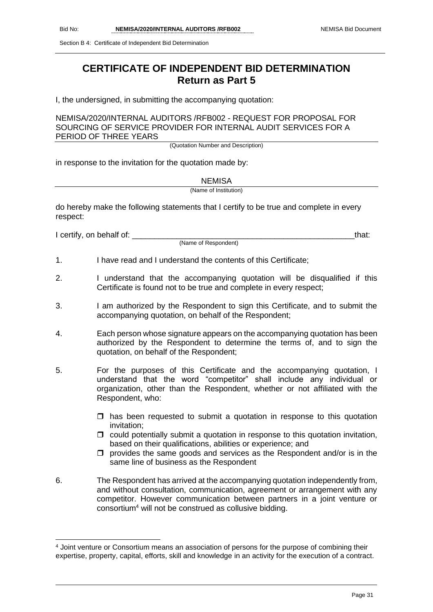Section B 4: Certificate of Independent Bid Determination

# **CERTIFICATE OF INDEPENDENT BID DETERMINATION Return as Part 5**

I, the undersigned, in submitting the accompanying quotation:

#### NEMISA/2020/INTERNAL AUDITORS /RFB002 - REQUEST FOR PROPOSAL FOR SOURCING OF SERVICE PROVIDER FOR INTERNAL AUDIT SERVICES FOR A PERIOD OF THREE YEARS

(Quotation Number and Description)

in response to the invitation for the quotation made by:

**NEMISA** 

(Name of Institution)

do hereby make the following statements that I certify to be true and complete in every respect:

I certify, on behalf of: that:  $\blacksquare$ 

(Name of Respondent)

- 1. I have read and I understand the contents of this Certificate;
- 2. I understand that the accompanying quotation will be disqualified if this Certificate is found not to be true and complete in every respect;
- 3. I am authorized by the Respondent to sign this Certificate, and to submit the accompanying quotation, on behalf of the Respondent;
- 4. Each person whose signature appears on the accompanying quotation has been authorized by the Respondent to determine the terms of, and to sign the quotation, on behalf of the Respondent;
- 5. For the purposes of this Certificate and the accompanying quotation, I understand that the word "competitor" shall include any individual or organization, other than the Respondent, whether or not affiliated with the Respondent, who:
	- $\Box$  has been requested to submit a quotation in response to this quotation invitation;
	- $\Box$  could potentially submit a quotation in response to this quotation invitation, based on their qualifications, abilities or experience; and
	- $\Box$  provides the same goods and services as the Respondent and/or is in the same line of business as the Respondent
- 6. The Respondent has arrived at the accompanying quotation independently from, and without consultation, communication, agreement or arrangement with any competitor. However communication between partners in a joint venture or consortium<sup>4</sup> will not be construed as collusive bidding.

<sup>4</sup> Joint venture or Consortium means an association of persons for the purpose of combining their expertise, property, capital, efforts, skill and knowledge in an activity for the execution of a contract.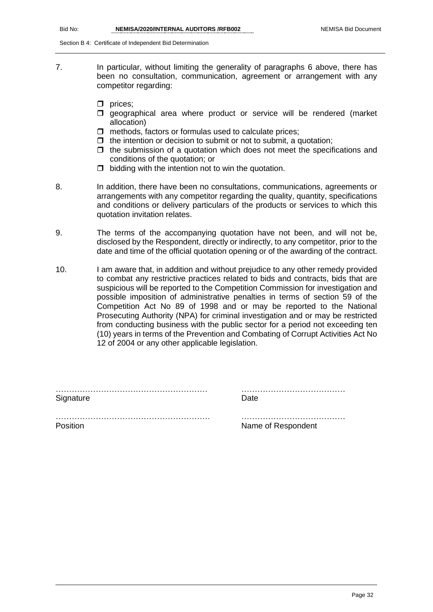Section B 4: Certificate of Independent Bid Determination

- 7. In particular, without limiting the generality of paragraphs 6 above, there has been no consultation, communication, agreement or arrangement with any competitor regarding:
	- $\square$  prices:
	- $\square$  geographical area where product or service will be rendered (market allocation)
	- $\Box$  methods, factors or formulas used to calculate prices;
	- $\Box$  the intention or decision to submit or not to submit, a quotation:
	- $\Box$  the submission of a quotation which does not meet the specifications and conditions of the quotation; or
	- $\Box$  bidding with the intention not to win the quotation.
- 8. In addition, there have been no consultations, communications, agreements or arrangements with any competitor regarding the quality, quantity, specifications and conditions or delivery particulars of the products or services to which this quotation invitation relates.
- 9. The terms of the accompanying quotation have not been, and will not be, disclosed by the Respondent, directly or indirectly, to any competitor, prior to the date and time of the official quotation opening or of the awarding of the contract.
- 10. I am aware that, in addition and without prejudice to any other remedy provided to combat any restrictive practices related to bids and contracts, bids that are suspicious will be reported to the Competition Commission for investigation and possible imposition of administrative penalties in terms of section 59 of the Competition Act No 89 of 1998 and or may be reported to the National Prosecuting Authority (NPA) for criminal investigation and or may be restricted from conducting business with the public sector for a period not exceeding ten (10) years in terms of the Prevention and Combating of Corrupt Activities Act No 12 of 2004 or any other applicable legislation.

| Signature | Date               |
|-----------|--------------------|
| Position  | Name of Respondent |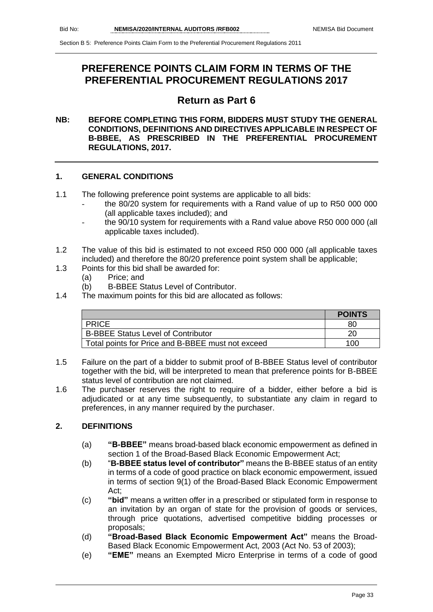# **PREFERENCE POINTS CLAIM FORM IN TERMS OF THE PREFERENTIAL PROCUREMENT REGULATIONS 2017**

# **Return as Part 6**

## **NB: BEFORE COMPLETING THIS FORM, BIDDERS MUST STUDY THE GENERAL CONDITIONS, DEFINITIONS AND DIRECTIVES APPLICABLE IN RESPECT OF B-BBEE, AS PRESCRIBED IN THE PREFERENTIAL PROCUREMENT REGULATIONS, 2017.**

## **1. GENERAL CONDITIONS**

- 1.1 The following preference point systems are applicable to all bids:
	- the 80/20 system for requirements with a Rand value of up to R50 000 000 (all applicable taxes included); and
	- the 90/10 system for requirements with a Rand value above R50 000 000 (all applicable taxes included).
- 1.2 The value of this bid is estimated to not exceed R50 000 000 (all applicable taxes included) and therefore the 80/20 preference point system shall be applicable;
- 1.3 Points for this bid shall be awarded for:
	- (a) Price; and
	- (b) B-BBEE Status Level of Contributor.
- 1.4 The maximum points for this bid are allocated as follows:

|                                                   | <b>POINTS</b> |
|---------------------------------------------------|---------------|
| <b>PRICE</b>                                      | 80            |
| <b>B-BBEE Status Level of Contributor</b>         | 20            |
| Total points for Price and B-BBEE must not exceed | 100           |

- 1.5 Failure on the part of a bidder to submit proof of B-BBEE Status level of contributor together with the bid, will be interpreted to mean that preference points for B-BBEE status level of contribution are not claimed.
- 1.6 The purchaser reserves the right to require of a bidder, either before a bid is adjudicated or at any time subsequently, to substantiate any claim in regard to preferences, in any manner required by the purchaser.

# **2. DEFINITIONS**

- (a) **"B-BBEE"** means broad-based black economic empowerment as defined in section 1 of the Broad-Based Black Economic Empowerment Act;
- (b) "**B-BBEE status level of contributor"** means the B-BBEE status of an entity in terms of a code of good practice on black economic empowerment, issued in terms of section 9(1) of the Broad-Based Black Economic Empowerment Act;
- (c) **"bid"** means a written offer in a prescribed or stipulated form in response to an invitation by an organ of state for the provision of goods or services, through price quotations, advertised competitive bidding processes or proposals;
- (d) **"Broad-Based Black Economic Empowerment Act"** means the Broad-Based Black Economic Empowerment Act, 2003 (Act No. 53 of 2003);
- (e) **"EME"** means an Exempted Micro Enterprise in terms of a code of good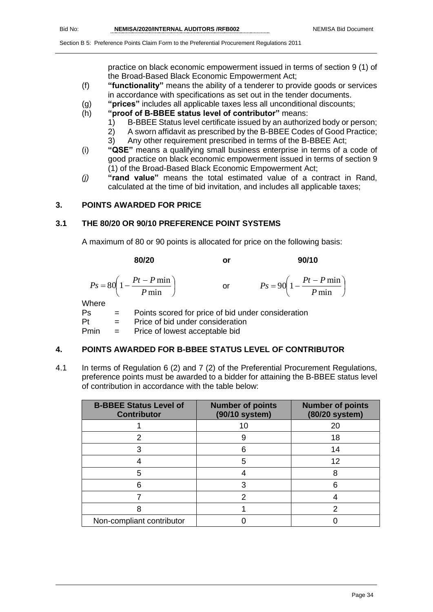practice on black economic empowerment issued in terms of section 9 (1) of the Broad-Based Black Economic Empowerment Act;

- (f) **"functionality"** means the ability of a tenderer to provide goods or services in accordance with specifications as set out in the tender documents.
- (g) **"prices"** includes all applicable taxes less all unconditional discounts;
- (h) **"proof of B-BBEE status level of contributor"** means:
	- 1) B-BBEE Status level certificate issued by an authorized body or person;
		- 2) A sworn affidavit as prescribed by the B-BBEE Codes of Good Practice;
	- 3) Any other requirement prescribed in terms of the B-BBEE Act;
- (i) **"QSE"** means a qualifying small business enterprise in terms of a code of good practice on black economic empowerment issued in terms of section 9 (1) of the Broad-Based Black Economic Empowerment Act;
- *(j)* **"rand value"** means the total estimated value of a contract in Rand, calculated at the time of bid invitation, and includes all applicable taxes;

# **3. POINTS AWARDED FOR PRICE**

## **3.1 THE 80/20 OR 90/10 PREFERENCE POINT SYSTEMS**

A maximum of 80 or 90 points is allocated for price on the following basis:

|             | 80/20                                                     | or | 90/10                                                     |
|-------------|-----------------------------------------------------------|----|-----------------------------------------------------------|
|             | $P_s = 80 \left( 1 - \frac{Pt - P \min P}{ \min} \right)$ | or | $P s = 90 \left( 1 - \frac{Pt - P \min P}{ \min} \right)$ |
| Where<br>De | Points scored for price of hid under consideration        |    |                                                           |

Ps = Points scored for price of bid under consideration Pt = Price of bid under consideration  $Pmin =$  Price of lowest acceptable bid

# **4. POINTS AWARDED FOR B-BBEE STATUS LEVEL OF CONTRIBUTOR**

4.1 In terms of Regulation 6 (2) and 7 (2) of the Preferential Procurement Regulations, preference points must be awarded to a bidder for attaining the B-BBEE status level of contribution in accordance with the table below:

| <b>B-BBEE Status Level of</b><br><b>Contributor</b> | <b>Number of points</b><br>(90/10 system) | <b>Number of points</b><br>(80/20 system) |
|-----------------------------------------------------|-------------------------------------------|-------------------------------------------|
|                                                     | 10                                        | 20                                        |
|                                                     |                                           | 18                                        |
|                                                     | հ                                         | 14                                        |
|                                                     | 5                                         | 12                                        |
| 5                                                   |                                           | 8                                         |
|                                                     | 3                                         |                                           |
|                                                     |                                           |                                           |
|                                                     |                                           |                                           |
| Non-compliant contributor                           |                                           |                                           |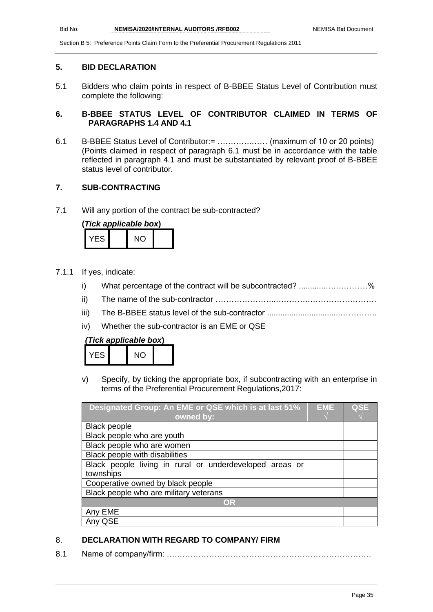#### **5. BID DECLARATION**

5.1 Bidders who claim points in respect of B-BBEE Status Level of Contribution must complete the following:

## **6. B-BBEE STATUS LEVEL OF CONTRIBUTOR CLAIMED IN TERMS OF PARAGRAPHS 1.4 AND 4.1**

6.1 B-BBEE Status Level of Contributor:= ………….…… (maximum of 10 or 20 points) (Points claimed in respect of paragraph 6.1 must be in accordance with the table reflected in paragraph 4.1 and must be substantiated by relevant proof of B-BBEE status level of contributor.

# **7. SUB-CONTRACTING**

7.1 Will any portion of the contract be sub-contracted?

| (Tick applicable box) |  |     |  |
|-----------------------|--|-----|--|
| YES.                  |  | NO. |  |

- 7.1.1 If yes, indicate:
	- i) What percentage of the contract will be subcontracted? ..........................%
	- ii) The name of the sub-contractor …………………..………….…………………….
	- iii) The B-BBEE status level of the sub-contractor .................................…………..
	- iv) Whether the sub-contractor is an EME or QSE

| (Tick applicable box) |  |
|-----------------------|--|
|-----------------------|--|

| -5 |  |  |
|----|--|--|

v) Specify, by ticking the appropriate box, if subcontracting with an enterprise in terms of the Preferential Procurement Regulations,2017:

| Designated Group: An EME or QSE which is at last 51%    | <b>EME</b> | <b>QSE</b> |
|---------------------------------------------------------|------------|------------|
| owned by:                                               |            |            |
| <b>Black people</b>                                     |            |            |
| Black people who are youth                              |            |            |
| Black people who are women                              |            |            |
| Black people with disabilities                          |            |            |
| Black people living in rural or underdeveloped areas or |            |            |
| townships                                               |            |            |
| Cooperative owned by black people                       |            |            |
| Black people who are military veterans                  |            |            |
| <b>OR</b>                                               |            |            |
| Any EME                                                 |            |            |
| Any QSE                                                 |            |            |

# 8. **DECLARATION WITH REGARD TO COMPANY/ FIRM**

8.1 Name of company/firm: ….……………………………………………………………….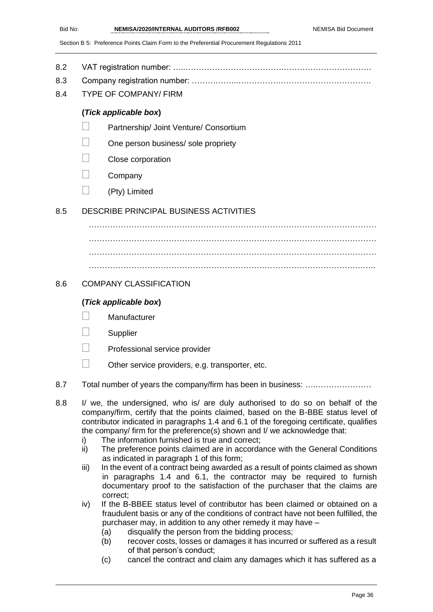- 8.2 VAT registration number: …..……………………………….……………………………
- 8.3 Company registration number: ……….……..…………….…………………………….
- 8.4 TYPE OF COMPANY/ FIRM

# **(***Tick applicable box***)**

- Partnership/ Joint Venture/ Consortium
- One person business/ sole propriety
- Close corporation
- Company
- $\Box$  (Pty) Limited

# 8.5 DESCRIBE PRINCIPAL BUSINESS ACTIVITIES

……………………………………………………………………………………………… ……………………………………………………………………………………………… ……………………………………………………………………………………………… ………………………………………………………………………………………….…..

## 8.6 COMPANY CLASSIFICATION

# **(***Tick applicable box***)**

- **Manufacturer**
- **Supplier**
- Professional service provider
- $\Box$  Other service providers, e.g. transporter, etc.
- 8.7 Total number of years the company/firm has been in business: .......................
- 8.8 I/ we, the undersigned, who is/ are duly authorised to do so on behalf of the company/firm, certify that the points claimed, based on the B-BBE status level of contributor indicated in paragraphs 1.4 and 6.1 of the foregoing certificate, qualifies the company/ firm for the preference(s) shown and I/ we acknowledge that:
	- i) The information furnished is true and correct;
	- ii) The preference points claimed are in accordance with the General Conditions as indicated in paragraph 1 of this form;
	- iii) In the event of a contract being awarded as a result of points claimed as shown in paragraphs 1.4 and 6.1, the contractor may be required to furnish documentary proof to the satisfaction of the purchaser that the claims are correct;
	- iv) If the B-BBEE status level of contributor has been claimed or obtained on a fraudulent basis or any of the conditions of contract have not been fulfilled, the purchaser may, in addition to any other remedy it may have –
		- (a) disqualify the person from the bidding process;
		- (b) recover costs, losses or damages it has incurred or suffered as a result of that person's conduct;
		- (c) cancel the contract and claim any damages which it has suffered as a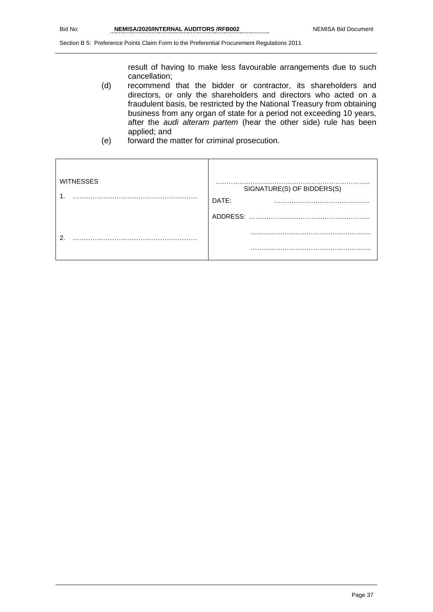result of having to make less favourable arrangements due to such cancellation;

- (d) recommend that the bidder or contractor, its shareholders and directors, or only the shareholders and directors who acted on a fraudulent basis, be restricted by the National Treasury from obtaining business from any organ of state for a period not exceeding 10 years, after the *audi alteram partem* (hear the other side) rule has been applied; and
- (e) forward the matter for criminal prosecution.

| <b>WITNESSES</b><br>1 | SIGNATURE(S) OF BIDDERS(S)<br>DATE: |
|-----------------------|-------------------------------------|
|                       | ADDRESS:                            |
| ົ                     | .                                   |
|                       | .                                   |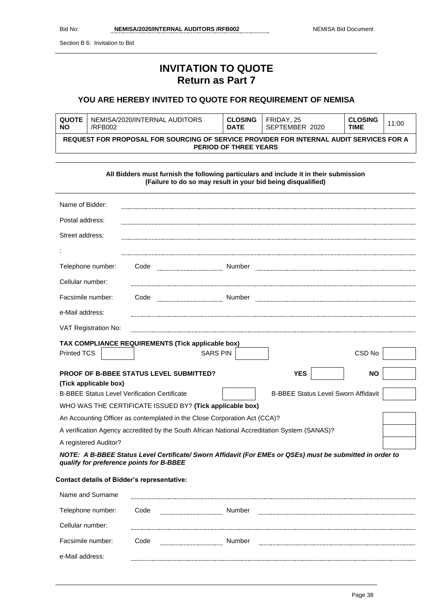Section B 6: Invitation to Bid

# **INVITATION TO QUOTE Return as Part 7**

# **YOU ARE HEREBY INVITED TO QUOTE FOR REQUIREMENT OF NEMISA**

| QUOTE                                                                                                                   | NEMISA/2020/INTERNAL AUDITORS | <b>CLOSING</b> | FRIDAY, 25     | <b>CLOSING</b> | 11:00 |
|-------------------------------------------------------------------------------------------------------------------------|-------------------------------|----------------|----------------|----------------|-------|
| <b>NO</b>                                                                                                               | /RFB002                       | <b>DATE</b>    | SEPTEMBER 2020 | TIME           |       |
| REQUEST FOR PROPOSAL FOR SOURCING OF SERVICE PROVIDER FOR INTERNAL AUDIT SERVICES FOR A<br><b>PERIOD OF THREE YEARS</b> |                               |                |                |                |       |

|                                                          |      | (Failure to do so may result in your bid being disqualified)                                 | All Bidders must furnish the following particulars and include it in their submission                     |           |
|----------------------------------------------------------|------|----------------------------------------------------------------------------------------------|-----------------------------------------------------------------------------------------------------------|-----------|
| Name of Bidder:                                          |      |                                                                                              |                                                                                                           |           |
| Postal address:                                          |      |                                                                                              |                                                                                                           |           |
| Street address:                                          |      |                                                                                              |                                                                                                           |           |
|                                                          |      |                                                                                              |                                                                                                           |           |
| Telephone number:                                        | Code |                                                                                              |                                                                                                           |           |
| Cellular number:                                         |      |                                                                                              |                                                                                                           |           |
| Facsimile number:                                        | Code |                                                                                              |                                                                                                           |           |
| e-Mail address:                                          |      |                                                                                              |                                                                                                           |           |
| VAT Registration No:                                     |      |                                                                                              |                                                                                                           |           |
| TAX COMPLIANCE REQUIREMENTS (Tick applicable box)        |      |                                                                                              |                                                                                                           |           |
| <b>Printed TCS</b>                                       |      | <b>SARS PIN</b>                                                                              |                                                                                                           | CSD No    |
| <b>PROOF OF B-BBEE STATUS LEVEL SUBMITTED?</b>           |      |                                                                                              | <b>YES</b>                                                                                                | <b>NO</b> |
| (Tick applicable box)                                    |      |                                                                                              |                                                                                                           |           |
| <b>B-BBEE Status Level Verification Certificate</b>      |      |                                                                                              | <b>B-BBEE Status Level Sworn Affidavit</b>                                                                |           |
| WHO WAS THE CERTIFICATE ISSUED BY? (Tick applicable box) |      |                                                                                              |                                                                                                           |           |
|                                                          |      | An Accounting Officer as contemplated in the Close Corporation Act (CCA)?                    |                                                                                                           |           |
|                                                          |      | A verification Agency accredited by the South African National Accreditation System (SANAS)? |                                                                                                           |           |
| A registered Auditor?                                    |      |                                                                                              |                                                                                                           |           |
|                                                          |      |                                                                                              | NOTE: A B-BBEE Status Level Certificate/ Sworn Affidavit (For EMEs or QSEs) must be submitted in order to |           |

*qualify for preference points for B-BBEE*

#### **Contact details of Bidder's representative:**

| Name and Surname  |                  |                      |        |  |
|-------------------|------------------|----------------------|--------|--|
| Telephone number: | Code             | -------------------- | Number |  |
| Cellular number:  |                  |                      |        |  |
| Facsimile number: | Code             |                      | Number |  |
| e-Mail address:   | ---------------- |                      |        |  |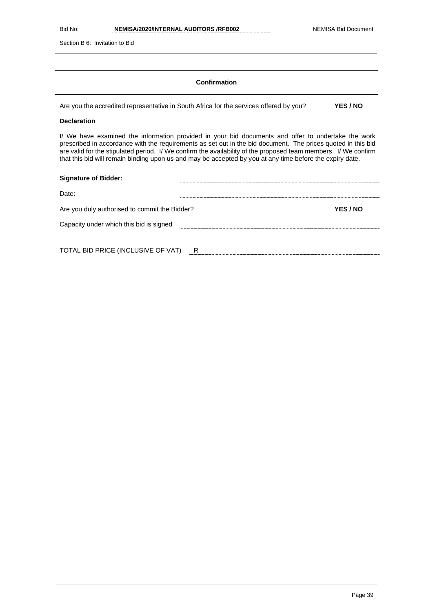Section B 6: Invitation to Bid

#### **Confirmation**

Are you the accredited representative in South Africa for the services offered by you? **YES / NO**

#### **Declaration**

I/ We have examined the information provided in your bid documents and offer to undertake the work prescribed in accordance with the requirements as set out in the bid document. The prices quoted in this bid are valid for the stipulated period. I/ We confirm the availability of the proposed team members. I/ We confirm that this bid will remain binding upon us and may be accepted by you at any time before the expiry date.

| <b>Signature of Bidder:</b>                   |   |          |
|-----------------------------------------------|---|----------|
| Date:                                         |   |          |
| Are you duly authorised to commit the Bidder? |   | YES / NO |
| Capacity under which this bid is signed       |   |          |
|                                               |   |          |
| TOTAL BID PRICE (INCLUSIVE OF VAT)            | R |          |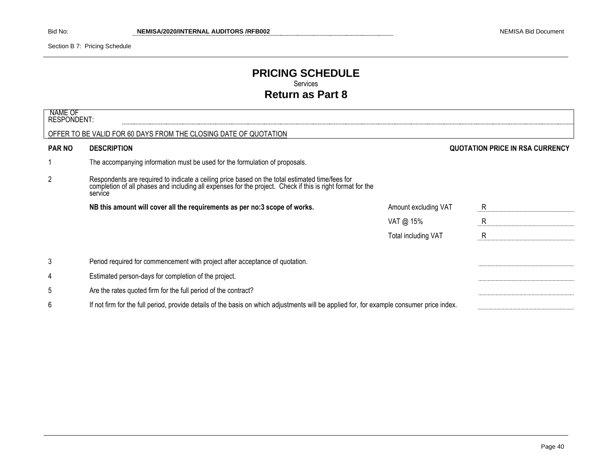Section B 7: Pricing Schedule

# **PRICING SCHEDULE** Services **Return as Part 8**

| NAME OF<br><b>RESPONDENT:</b> |                                                                                                                                                                                                                          |                      |                                 |
|-------------------------------|--------------------------------------------------------------------------------------------------------------------------------------------------------------------------------------------------------------------------|----------------------|---------------------------------|
|                               | OFFER TO BE VALID FOR 60 DAYS FROM THE CLOSING DATE OF QUOTATION                                                                                                                                                         |                      |                                 |
| <b>PAR NO</b>                 | <b>DESCRIPTION</b>                                                                                                                                                                                                       |                      | QUOTATION PRICE IN RSA CURRENCY |
|                               | The accompanying information must be used for the formulation of proposals.                                                                                                                                              |                      |                                 |
| $\overline{2}$                | Respondents are required to indicate a ceiling price based on the total estimated time/fees for<br>completion of all phases and including all expenses for the project. Check if this is right format for the<br>service |                      |                                 |
|                               | NB this amount will cover all the requirements as per no:3 scope of works.                                                                                                                                               | Amount excluding VAT | R                               |
|                               |                                                                                                                                                                                                                          | VAT @ $15\%$         | R                               |
|                               |                                                                                                                                                                                                                          | Total including VAT  | R                               |
| 3                             | Period required for commencement with project after acceptance of quotation.                                                                                                                                             |                      |                                 |
| 4                             | Estimated person-days for completion of the project.                                                                                                                                                                     |                      |                                 |
| 5                             | Are the rates quoted firm for the full period of the contract?                                                                                                                                                           |                      |                                 |
| 6                             | If not firm for the full period, provide details of the basis on which adjustments will be applied for, for example consumer price index.                                                                                |                      |                                 |